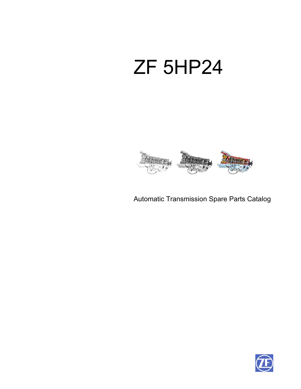# ZF 5HP24



Automatic Transmission Spare Parts Catalog

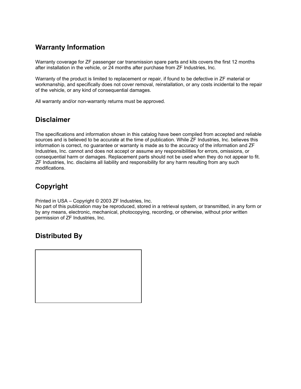### **Warranty Information**

Warranty coverage for ZF passenger car transmission spare parts and kits covers the first 12 months after installation in the vehicle, or 24 months after purchase from ZF Industries, Inc.

Warranty of the product is limited to replacement or repair, if found to be defective in ZF material or workmanship, and specifically does not cover removal, reinstallation, or any costs incidental to the repair of the vehicle, or any kind of consequential damages.

All warranty and/or non-warranty returns must be approved.

### **Disclaimer**

The specifications and information shown in this catalog have been compiled from accepted and reliable sources and is believed to be accurate at the time of publication. While ZF Industries, Inc. believes this information is correct, no guarantee or warranty is made as to the accuracy of the information and ZF Industries, Inc. cannot and does not accept or assume any responsibilities for errors, omissions, or consequential harm or damages. Replacement parts should not be used when they do not appear to fit. ZF Industries, Inc. disclaims all liability and responsibility for any harm resulting from any such modifications.

### **Copyright**

Printed in USA – Copyright © 2003 ZF Industries, Inc.

No part of this publication may be reproduced, stored in a retrieval system, or transmitted, in any form or by any means, electronic, mechanical, photocopying, recording, or otherwise, without prior written permission of ZF Industries, Inc.

### **Distributed By**

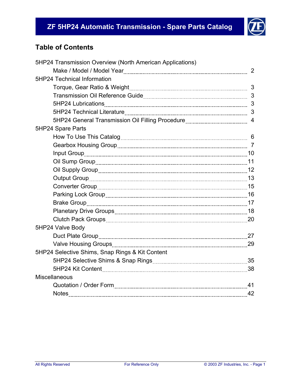

### **Table of Contents**

| 5HP24 Transmission Overview (North American Applications) |                |
|-----------------------------------------------------------|----------------|
|                                                           | $\overline{2}$ |
| <b>5HP24 Technical Information</b>                        |                |
|                                                           |                |
|                                                           |                |
|                                                           |                |
|                                                           |                |
|                                                           |                |
| 5HP24 Spare Parts                                         |                |
|                                                           |                |
|                                                           |                |
|                                                           |                |
|                                                           |                |
|                                                           |                |
|                                                           |                |
|                                                           |                |
|                                                           |                |
|                                                           |                |
|                                                           |                |
|                                                           |                |
| 5HP24 Valve Body                                          |                |
|                                                           |                |
|                                                           |                |
| 5HP24 Selective Shims, Snap Rings & Kit Content           |                |
|                                                           |                |
|                                                           |                |
| <b>Miscellaneous</b>                                      |                |
|                                                           |                |
| Notes 22                                                  |                |
|                                                           |                |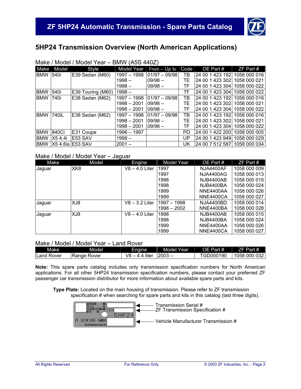

### **5HP24 Transmission Overview (North American Applications)**

| Make       | Model   | Style                  | Model Year    | From $-$ Up to    | Code | OE Part#                     | $ZF$ Part #  |
|------------|---------|------------------------|---------------|-------------------|------|------------------------------|--------------|
| <b>BMW</b> | 540i    | E39 Sedan (M60)        | 1997 - 1998   | $ 01/97 - 09/98 $ | ΤВ   | 24 00 1 423 192              | 1058 000 016 |
|            |         |                        | 1998 –        | $109/98 -$        | TE   | 24 00 1 423 302              | 1058 000 021 |
|            |         |                        | 1998 –        | $109/98 -$        | TF   | 24 00 1 423 304              | 1058 000 022 |
| <b>BMW</b> | 540i    | E39 Touring (M60)      | $1998 -$      |                   | TF   | 24 00 1 423 304              | 1058 000 022 |
| <b>BMW</b> | 740i    | E38 Sedan (M62)        | 1997 - 1998   | $ 01/97 - 09/98 $ | ТB   | 24 00 1 423 192              | 1058 000 016 |
|            |         |                        | $1998 - 2001$ | $09/98 -$         | TF   | 24 00 1 423 302 1058 000 021 |              |
|            |         |                        | 1998 – 2001   | $09/98 -$         | TF   | 24 00 1 423 304 1058 000 022 |              |
| <b>BMW</b> | 740iL   | E38 Sedan (M62)        | 1997 - 1998   | $ 01/97 - 09/98 $ | ΤВ   | 24 00 1 423 192 1058 000 016 |              |
|            |         |                        | 1998 - 2001   | $09/98 -$         | TE   | 24 00 1 423 302 1058 000 021 |              |
|            |         |                        | 1998 – 2001   | $09/98 -$         | TF   | 24 00 1 423 304 1058 000 022 |              |
| <b>BMW</b> | 840Ci   | <b>IE31 Coupe</b>      | 1996 - 1997   |                   | PD   | 24 00 1 422 200              | 1058 000 005 |
| <b>BMW</b> | X5 4.4i | IE53 SAV               | 1998 –        |                   | UP   | 24 00 1 423 949              | 1058 000 029 |
| <b>BMW</b> |         | <b>X5 4.6 SE53 SAV</b> | $2001 -$      |                   | UK   | 24 00 7 512 587              | 1058 000 034 |

### Make / Model / Model Year – BMW (A5S 440Z)

### Make / Model / Model Year – Jaguar

| Make   | Model | Engine           | Model Year  | OE Part #        | $ZF$ Part #  |
|--------|-------|------------------|-------------|------------------|--------------|
| Jaguar | XK8   | $V8 - 4.0$ Liter | 1997        | NJA4400AF        | 1058 000 009 |
|        |       |                  | 1997        | <b>NJA4400AG</b> | 1058 000 013 |
|        |       |                  | 1998        | NJB4400AB        | 1058 000 015 |
|        |       |                  | 1998        | NJB4400BA        | 1058 000 024 |
|        |       |                  | 1999        | NNE4400AA        | 1058 000 026 |
|        |       |                  | 1999        | NNE4400CA        | 1058 000 027 |
| Jaguar | XJ8   | $V8 - 3.2$ Liter | 1997 - 1998 | NJA4400BD        | 1058 000 014 |
|        |       |                  | 1998 - 2002 | NNE4400BA        | 1058 000 028 |
| Jaguar | XJ8   | $V8 - 4.0$ Liter | 1998        | <b>NJB4400AB</b> | 1058 000 015 |
|        |       |                  | 1998        | NJB4400BA        | 1058 000 024 |
|        |       |                  | 1999        | NNE4400AA        | 1058 000 026 |
|        |       |                  | 1999        | NNE4400CA        | 1058 000 027 |

#### Make / Model / Model Year – Land Rover

| Make              | Model               | Engine.                               | Model Year | OE Part #     | Part#        |
|-------------------|---------------------|---------------------------------------|------------|---------------|--------------|
| <b>Land Rover</b> | <b>IRange Rover</b> | V8<br>-liter<br>$\sqrt{ }$<br>44<br>_ | 2003       | D000190<br>GL | 1058 000 032 |

**Note:** This spare parts catalog includes only transmission specification numbers for North American applications. For all other 5HP24 transmission specification numbers, please contact your preferred ZF passenger car transmission distributor for more information about available spare parts and kits.

**Type Plate:** Located on the main housing of transmission. Please refer to ZF transmission specification # when searching for spare parts and kits in this catalog (last three digits).

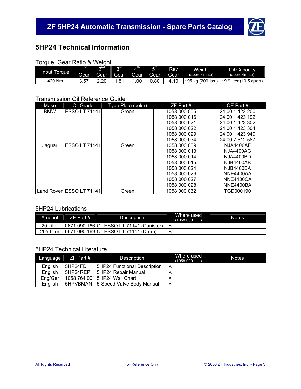

### **5HP24 Technical Information**

| Torque, Gear Ratio & Weight |  |           |  |
|-----------------------------|--|-----------|--|
|                             |  | $\sim$ nd |  |

| Input Torque | ⊿ st | ∩nd  | rd د      | $A^{\text{th}}$ | 5 <sup>th</sup> | Rev  | Weight        | Oil Capacity                                          |
|--------------|------|------|-----------|-----------------|-----------------|------|---------------|-------------------------------------------------------|
|              | Gear | Gear | Gear      | Gear            | Gear            | Gear | (approximate) | (approximate)                                         |
| 420 Nm       | 3.57 |      | <b>51</b> | .00             | 0.80            | 4.10 |               | $\sim$ 95 kg (209 lbs.) $\sim$ 9.9 liter (10.5 quart) |

### Transmission Oil Reference Guide

| Make       | Oil Grade                       | <b>Type Plate (color)</b> | $ZF$ Part #  | OE Part #        |
|------------|---------------------------------|---------------------------|--------------|------------------|
| <b>BMW</b> | <b>ESSO LT 71141</b>            | Green                     | 1058 000 005 | 24 00 1 422 200  |
|            |                                 |                           | 1058 000 016 | 24 00 1 423 192  |
|            |                                 |                           | 1058 000 021 | 24 00 1 423 302  |
|            |                                 |                           | 1058 000 022 | 24 00 1 423 304  |
|            |                                 |                           | 1058 000 029 | 24 00 1 423 949  |
|            |                                 |                           | 1058 000 034 | 24 00 7 512 587  |
| Jaguar     | <b>ESSO LT 71141</b>            | Green                     | 1058 000 009 | <b>NJA4400AF</b> |
|            |                                 |                           | 1058 000 013 | <b>NJA4400AG</b> |
|            |                                 |                           | 1058 000 014 | <b>NJA4400BD</b> |
|            |                                 |                           | 1058 000 015 | <b>NJB4400AB</b> |
|            |                                 |                           | 1058 000 024 | NJB4400BA        |
|            |                                 |                           | 1058 000 026 | NNE4400AA        |
|            |                                 |                           | 1058 000 027 | NNE4400CA        |
|            |                                 |                           | 1058 000 028 | NNE4400BA        |
|            | Land Rover <b>ESSO LT 71141</b> | Green                     | 1058 000 032 | TGD000190        |

### 5HP24 Lubrications

| Amount    | EZF Part #1 | Description                               | Where used<br>(1058 000 | <b>Notes</b> |
|-----------|-------------|-------------------------------------------|-------------------------|--------------|
| 20 Liter  |             | 0671 090 166 Oil ESSO LT 71141 (Canister) | <b>AII</b>              |              |
| 205 Liter |             | 0671 090 169 Oil ESSO LT 71141 (Drum)     | All                     |              |

### 5HP24 Technical Literature

|         | Language $ZF$ Part # | Description                    | Where used<br>(1058 000 | <b>Notes</b> |
|---------|----------------------|--------------------------------|-------------------------|--------------|
| English | $I$ 5HP24FD          | 15HP24 Functional Description  | All                     |              |
| English | $I$ 5HP24REP         | 15HP24 Repair Manual           | All                     |              |
| Eng/Ger |                      | 11058 764 001 5HP24 Wall Chart | All                     |              |
| English | <b>5HPVBMAN</b>      | 15-Speed Valve Body Manual     | All                     |              |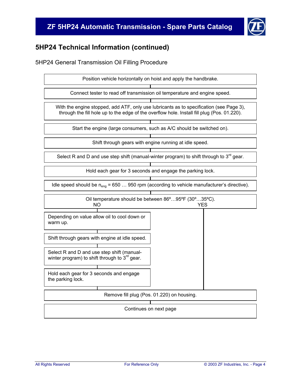# **ZF 5HP24 Automatic Transmission - Spare Parts Catalog**



# **5HP24 Technical Information (continued)**

### 5HP24 General Transmission Oil Filling Procedure

| Position vehicle horizontally on hoist and apply the handbrake.                                                                                                                        |  |  |  |  |  |  |
|----------------------------------------------------------------------------------------------------------------------------------------------------------------------------------------|--|--|--|--|--|--|
| Connect tester to read off transmission oil temperature and engine speed.                                                                                                              |  |  |  |  |  |  |
| With the engine stopped, add ATF, only use lubricants as to specification (see Page 3),<br>through the fill hole up to the edge of the overflow hole. Install fill plug (Pos. 01.220). |  |  |  |  |  |  |
| Start the engine (large consumers, such as A/C should be switched on).                                                                                                                 |  |  |  |  |  |  |
| Shift through gears with engine running at idle speed.                                                                                                                                 |  |  |  |  |  |  |
| Select R and D and use step shift (manual-winter program) to shift through to $3^{rd}$ gear.                                                                                           |  |  |  |  |  |  |
| Hold each gear for 3 seconds and engage the parking lock.                                                                                                                              |  |  |  |  |  |  |
| Idle speed should be $n_{enq}$ = 650  950 rpm (according to vehicle manufacturer's directive).                                                                                         |  |  |  |  |  |  |
| Oil temperature should be between 86°95°F (30°35°C).<br>NΟ<br>YES                                                                                                                      |  |  |  |  |  |  |
| Depending on value allow oil to cool down or<br>warm up.                                                                                                                               |  |  |  |  |  |  |
| Shift through gears with engine at idle speed.                                                                                                                                         |  |  |  |  |  |  |
| Select R and D and use step shift (manual-<br>winter program) to shift through to $3^{rd}$ gear.                                                                                       |  |  |  |  |  |  |
| Hold each gear for 3 seconds and engage<br>the parking lock.                                                                                                                           |  |  |  |  |  |  |
| Remove fill plug (Pos. 01.220) on housing.                                                                                                                                             |  |  |  |  |  |  |
| Continues on next page                                                                                                                                                                 |  |  |  |  |  |  |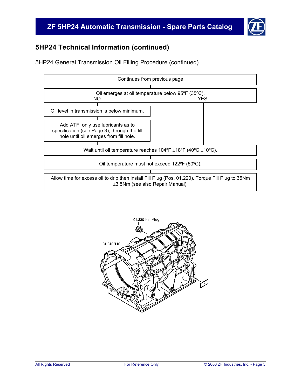### **ZF 5HP24 Automatic Transmission - Spare Parts Catalog**



### **5HP24 Technical Information (continued)**

5HP24 General Transmission Oil Filling Procedure (continued)



![](_page_6_Figure_5.jpeg)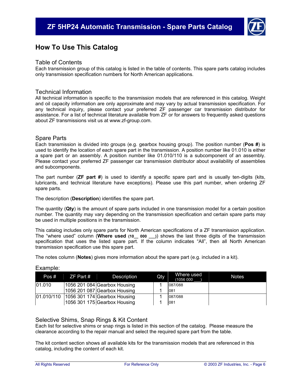![](_page_7_Picture_1.jpeg)

### **How To Use This Catalog**

#### Table of Contents

Each transmission group of this catalog is listed in the table of contents. This spare parts catalog includes only transmission specification numbers for North American applications.

#### Technical Information

All technical information is specific to the transmission models that are referenced in this catalog. Weight and oil capacity information are only approximate and may vary by actual transmission specification. For any technical inquiry, please contact your preferred ZF passenger car transmission distributor for assistance. For a list of technical literature available from ZF or for answers to frequently asked questions about ZF transmissions visit us at www.zf-group.com.

#### Spare Parts

Each transmission is divided into groups (e.g. gearbox housing group). The position number (**Pos #**) is used to identify the location of each spare part in the transmission. A position number like 01.010 is either a spare part or an assembly. A position number like 01.010/110 is a subcomponent of an assembly. Please contact your preferred ZF passenger car transmission distributor about availability of assemblies and subcomponents.

The part number (**ZF part #**) is used to identify a specific spare part and is usually ten-digits (kits, lubricants, and technical literature have exceptions). Please use this part number, when ordering ZF spare parts.

The description (**Description**) identifies the spare part.

The quantity (**Qty**) is the amount of spare parts included in one transmission model for a certain position number. The quantity may vary depending on the transmission specification and certain spare parts may be used in multiple positions in the transmission.

This catalog includes only spare parts for North American specifications of a ZF transmission application. The "where used" column (**Where used (10\_\_ 000 \_\_\_)**) shows the last three digits of the transmission specification that uses the listed spare part. If the column indicates "All", then all North American transmission specification use this spare part.

The notes column (**Notes**) gives more information about the spare part (e.g. included in a kit).

| Pos #  | ZF Part # | Description                               | Qty | Where used<br>(1056 000 | <b>Notes</b> |
|--------|-----------|-------------------------------------------|-----|-------------------------|--------------|
| 01.010 |           | 1056 201 084 Gearbox Housing              |     | 087/088                 |              |
|        |           | 1056 201 087 Gearbox Housing              |     | 081                     |              |
|        |           | 01.010/110   1056 301 174 Gearbox Housing |     | 087/088                 |              |
|        |           | 1056 301 175 Gearbox Housing              |     | 081                     |              |

#### Example:

#### Selective Shims, Snap Rings & Kit Content

Each list for selective shims or snap rings is listed in this section of the catalog. Please measure the clearance according to the repair manual and select the required spare part from the table.

The kit content section shows all available kits for the transmission models that are referenced in this catalog, including the content of each kit.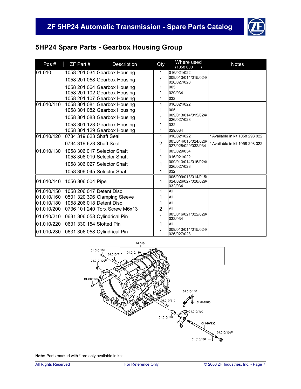![](_page_8_Picture_1.jpeg)

# **5HP24 Spare Parts - Gearbox Housing Group**

| Pos#       | ZF Part #                | Description                   | Qty            | Where used<br>(1058 000                                 | <b>Notes</b>                    |
|------------|--------------------------|-------------------------------|----------------|---------------------------------------------------------|---------------------------------|
| 01.010     |                          | 1058 201 034 Gearbox Housing  | 1              | 016/021/022                                             |                                 |
|            |                          | 1058 201 058 Gearbox Housing  | 1              | 009/013/014/015/024/<br>026/027/028                     |                                 |
|            |                          | 1058 201 064 Gearbox Housing  | 1              | 005                                                     |                                 |
|            |                          | 1058 201 102 Gearbox Housing  | 1              | 029/034                                                 |                                 |
|            |                          | 1058 201 107 Gearbox Housing  | 1              | 032                                                     |                                 |
| 01.010/110 |                          | 1058 301 081 Gearbox Housing  | 1              | 016/021/022                                             |                                 |
|            |                          | 1058 301 082 Gearbox Housing  | 1              | 005                                                     |                                 |
|            |                          | 1058 301 083 Gearbox Housing  | 1              | 009/013/014/015/024/<br>026/027/028                     |                                 |
|            |                          | 1058 301 123 Gearbox Housing  | 1              | 032                                                     |                                 |
|            |                          | 1058 301 129 Gearbox Housing  | 1              | 029/034                                                 |                                 |
| 01.010/120 | 0734 319 623 Shaft Seal  |                               | 1              | 016/021/022                                             | * Available in kit 1058 298 022 |
|            | 0734 319 623 Shaft Seal  |                               | $\overline{2}$ | 005/014/015/024/026/<br>027/028/029/032/034             | * Available in kit 1058 298 022 |
| 01.010/130 |                          | 1058 306 017 Selector Shaft   | 1              | 005/029/034                                             |                                 |
|            |                          | 1058 306 019 Selector Shaft   | 1              | 016/021/022                                             |                                 |
|            |                          | 1058 306 027 Selector Shaft   | 1              | 009/013/014/015/024/<br>026/027/028                     |                                 |
|            |                          | 1058 306 045 Selector Shaft   | 1              | 032                                                     |                                 |
| 01.010/140 | 1056 306 004 Pipe        |                               | 1              | 005/009/013/014/015/<br>024/026/027/028/029/<br>032/034 |                                 |
| 01.010/150 | 1058 206 017 Detent Disc |                               | 1              | All                                                     |                                 |
| 01.010/160 |                          | 0501 320 396 Clamping Sleeve  | 1              | All                                                     |                                 |
| 01.010/180 | 1058 206 018 Detent Disc |                               | 1              | All                                                     |                                 |
| 01.010/200 |                          | 0736 101 240 Torx Screw M6x13 | $\overline{2}$ | All                                                     |                                 |
| 01.010/210 |                          | 0631 306 058 Cylindrical Pin  | 1              | 005/016/021/022/029/<br>032/034                         |                                 |
| 01.010/220 | 0631 330 154 Slotted Pin |                               | 1              | All                                                     |                                 |
| 01.010/230 |                          | 0631 306 058 Cylindrical Pin  | 1              | 009/013/014/015/024/<br>026/027/028                     |                                 |

![](_page_8_Figure_4.jpeg)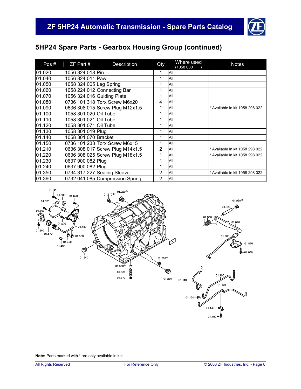![](_page_9_Picture_1.jpeg)

# **5HP24 Spare Parts - Gearbox Housing Group (continued)**

| Pos#   | $ZF$ Part #             | Description                     | Qty            | Where used<br>(1058 000 | <b>Notes</b>                    |
|--------|-------------------------|---------------------------------|----------------|-------------------------|---------------------------------|
| 01.020 | 1056 324 018 Pin        |                                 | 1              | All                     |                                 |
| 01.040 | 1056 324 011 Pawl       |                                 | 1              | All                     |                                 |
| 01.050 | 1058 324 005 Leg Spring |                                 | 1              | All                     |                                 |
| 01.060 |                         | 1058 224 012 Connecting Bar     | 1              | All                     |                                 |
| 01.070 |                         | 1056 324 016 Guiding Plate      | 1              | All                     |                                 |
| 01.080 |                         | 0736 101 318 Torx Screw M6x20   | 4              | All                     |                                 |
| 01.090 |                         | 0636 308 015 Screw Plug M12x1.5 | 1              | All                     | * Available in kit 1058 298 022 |
| 01.100 | 1058 301 020 Oil Tube   |                                 | 1              | All                     |                                 |
| 01.110 | 1058 301 021 Oil Tube   |                                 | 1              | All                     |                                 |
| 01.120 | 1058 301 071 Oil Tube   |                                 | 1              | All                     |                                 |
| 01.130 | 1058 301 019 Plug       |                                 | 1              | All                     |                                 |
| 01.140 | 1058 301 070 Bracket    |                                 | 1              | All                     |                                 |
| 01.150 |                         | 0736 101 233 Torx Screw M6x15   | 1              | All                     |                                 |
| 01.210 |                         | 0636 308 017 Screw Plug M14x1.5 | $\overline{2}$ | All                     | * Available in kit 1058 298 022 |
| 01.220 |                         | 0636 308 025 Screw Plug M18x1.5 | 1              | All                     | * Available in kit 1058 298 022 |
| 01.230 | 0637 900 082 Plug       |                                 | 1              | All                     |                                 |
| 01.240 | 0637 900 082 Plug       |                                 |                | All                     |                                 |
| 01.350 |                         | 0734 317 227 Sealing Sleeve     | $\overline{2}$ | All                     | * Available in kit 1058 298 022 |
| 01.360 |                         | 0732 041 085 Compression Spring | $\overline{2}$ | All                     |                                 |

![](_page_9_Figure_4.jpeg)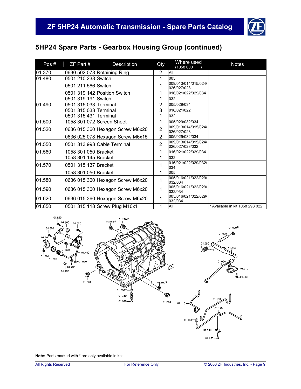![](_page_10_Picture_1.jpeg)

# **5HP24 Spare Parts - Gearbox Housing Group (continued)**

| Pos#   | ZF Part #             | Description                      | Qty            | Where used<br>(1058 000                 | <b>Notes</b>                    |
|--------|-----------------------|----------------------------------|----------------|-----------------------------------------|---------------------------------|
| 01.370 |                       | 0630 502 078 Retaining Ring      | 2              | All                                     |                                 |
| 01.480 | 0501 210 238 Switch   |                                  | 1              | 005                                     |                                 |
|        | 0501 211 566 Switch   |                                  | 1              | 009/013/014/015/024/<br>026/027/028     |                                 |
|        |                       | 0501 319 142 Position Switch     | 1              | 016/021/022/029/034                     |                                 |
|        | 0501 319 191 Switch   |                                  | 1              | 032                                     |                                 |
| 01.490 | 0501 315 033 Terminal |                                  | $\overline{2}$ | 005/029/034                             |                                 |
|        | 0501 315 033 Terminal |                                  | 3              | 016/021/022                             |                                 |
|        | 0501 315 431 Terminal |                                  | 1              | 032                                     |                                 |
| 01.500 |                       | 1058 301 072 Screen Sheet        | 1              | 005/029/032/034                         |                                 |
| 01.520 |                       | 0636 015 360 Hexagon Screw M6x20 | $\overline{2}$ | 009/013/014/015/024/<br>026/027/028     |                                 |
|        |                       | 0636 025 078 Hexagon Screw M6x15 | $\overline{2}$ | 005/029/032/034                         |                                 |
| 01.550 |                       | 0501 313 993 Cable Terminal      | $\overline{2}$ | 009/013/014/015/024/<br>026/027/028/032 |                                 |
| 01.560 | 1058 301 050 Bracket  |                                  | 1              | 016/021/022/029/034                     |                                 |
|        | 1058 301 145 Bracket  |                                  | 1              | 032                                     |                                 |
| 01.570 | 0501 315 137 Bracket  |                                  | 1              | 016/021/022/029/032/<br>034             |                                 |
|        | 1058 301 050 Bracket  |                                  | 1              | 005                                     |                                 |
| 01.580 |                       | 0636 015 360 Hexagon Screw M6x20 | 1              | 005/016/021/022/029/<br>032/034         |                                 |
| 01.590 |                       | 0636 015 360 Hexagon Screw M6x20 | 1              | 005/016/021/022/029/<br>032/034         |                                 |
| 01.620 |                       | 0636 015 360 Hexagon Screw M6x20 | 1              | 005/016/021/022/029/<br>032/034         |                                 |
| 01.650 |                       | 0501 315 118 Screw Plug M10x1    | 1              | All                                     | * Available in kit 1058 298 022 |

![](_page_10_Figure_4.jpeg)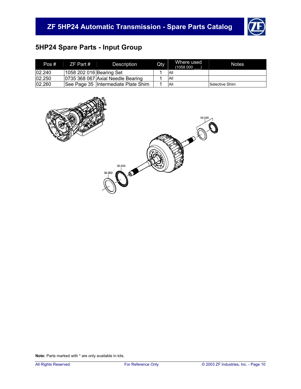![](_page_11_Picture_1.jpeg)

# **5HP24 Spare Parts - Input Group**

| Pos#   | ZF Part #                | Description                         | Qty | Where used<br>(1058000) | <b>Notes</b>   |
|--------|--------------------------|-------------------------------------|-----|-------------------------|----------------|
| 02.240 | 1058 202 016 Bearing Set |                                     |     | <b>All</b>              |                |
| 02.250 |                          | 0735 368 067 Axial Needle Bearing   |     | All                     |                |
| 02.260 |                          | See Page 35 Intermediate Plate Shim |     | All                     | Selective Shim |

![](_page_11_Figure_4.jpeg)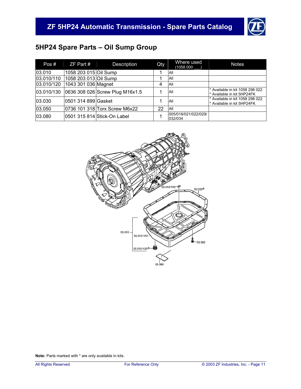![](_page_12_Picture_1.jpeg)

# **5HP24 Spare Parts – Oil Sump Group**

| Pos#       | $ZF$ Part #           | Description                     | Qty | Where used<br>(1058 000         | <b>Notes</b>                                                  |
|------------|-----------------------|---------------------------------|-----|---------------------------------|---------------------------------------------------------------|
| 03.010     | 1058 203 015 Oil Sump |                                 |     | All                             |                                                               |
| 03.010/110 | 1058 203 013 Oil Sump |                                 |     | All                             |                                                               |
| 03.010/120 | 1043 301 036 Magnet   |                                 | 4   | All                             |                                                               |
| 03.010/130 |                       | 0636 308 026 Screw Plug M16x1.5 |     | All                             | * Available in kit 1058 298 022<br>* Available in kit 5HP24FK |
| 03.030     | 0501 314 899 Gasket   |                                 |     | All                             | * Available in kit 1058 298 022<br>* Available in kit 5HP24FK |
| 03.050     |                       | 0736 101 318 Torx Screw M6x22   | 22  | All                             |                                                               |
| 03.080     |                       | 0501 315 814 Stick-On Label     |     | 005/016/021/022/029/<br>032/034 |                                                               |

![](_page_12_Figure_4.jpeg)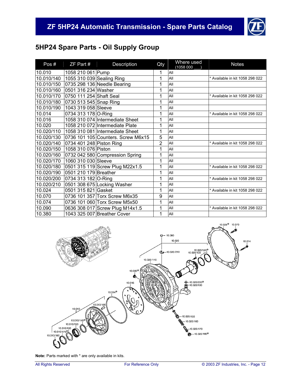![](_page_13_Picture_1.jpeg)

# **5HP24 Spare Parts - Oil Supply Group**

| Pos#       | ZF Part #                 | Description                        | Qty            | Where used<br>(1058 000 | <b>Notes</b>                    |
|------------|---------------------------|------------------------------------|----------------|-------------------------|---------------------------------|
| 10.010     | 1058 210 061 Pump         |                                    | 1              | All                     |                                 |
| 10.010/140 | 1055 310 039 Sealing Ring |                                    | 1              | All                     | * Available in kit 1058 298 022 |
| 10.010/150 |                           | 0735 298 136 Needle Bearing        | 1              | All                     |                                 |
| 10.010/160 | 0501 316 234 Washer       |                                    | 1              | All                     |                                 |
| 10.010/170 | 0750 111 254 Shaft Seal   |                                    | 1              | All                     | * Available in kit 1058 298 022 |
| 10.010/180 | 0730 513 545 Snap Ring    |                                    | 1              | All                     |                                 |
| 10.010/190 | 1043 319 058 Sleeve       |                                    | 1              | All                     |                                 |
| 10.014     | 0734 313 178 O-Ring       |                                    | 1              | All                     | * Available in kit 1058 298 022 |
| 10.016     |                           | 1058 310 074 Intermediate Sheet    | 1              | All                     |                                 |
| 10.020     |                           | 1058 210 072 Intermediate Plate    | 1              | All                     |                                 |
| 10.020/110 |                           | 1058 310 081 Intermediate Sheet    | 1              | All                     |                                 |
| 10.020/130 |                           | 0736 101 105 Counters. Screw M6x15 | 5              | All                     |                                 |
| 10.020/140 | 0734 401 248 Piston Ring  |                                    | $\overline{2}$ | All                     | * Available in kit 1058 298 022 |
| 10.020/150 | 1058 310 076 Piston       |                                    | 1              | All                     |                                 |
| 10.020/160 |                           | 0732 042 580 Compression Spring    | 1              | All                     |                                 |
| 10.020/170 | 1060 310 030 Sleeve       |                                    | 1              | All                     |                                 |
| 10.020/180 |                           | 0501 315 119 Screw Plug M22x1.5    | 1              | All                     | * Available in kit 1058 298 022 |
| 10.020/190 | 0501 210 179 Breather     |                                    | 1              | All                     |                                 |
| 10.020/200 | 0734 313 182 O-Ring       |                                    | 1              | All                     | * Available in kit 1058 298 022 |
| 10.020/210 |                           | 0501 308 675 Locking Washer        | 1              | All                     |                                 |
| 10.024     | 0501 315 821 Gasket       |                                    | 1              | All                     | * Available in kit 1058 298 022 |
| 10.070     |                           | 0736 101 357 Torx Screw M6x35      | 9              | All                     |                                 |
| 10.074     |                           | 0736 101 060 Torx Screw M5x50      | 1              | All                     |                                 |
| 10.090     |                           | 0636 308 017 Screw Plug M14x1.5    | 1              | All                     | * Available in kit 1058 298 022 |
| 10.380     |                           | 1043 325 007 Breather Cover        | 1              | All                     |                                 |

![](_page_13_Figure_4.jpeg)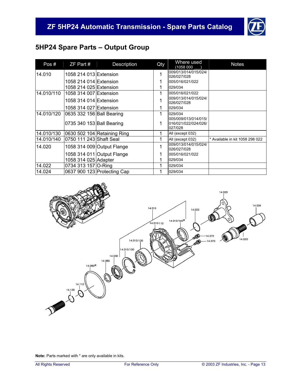![](_page_14_Picture_1.jpeg)

# **5HP24 Spare Parts – Output Group**

| Pos#       | $ZF$ Part #               | Description                 | Qty | Where used<br>(1058 000                                 | <b>Notes</b>                    |
|------------|---------------------------|-----------------------------|-----|---------------------------------------------------------|---------------------------------|
| 14.010     | 1058 214 013 Extension    |                             | 1   | 009/013/014/015/024/<br>026/027/028                     |                                 |
|            | 1058 214 014 Extension    |                             |     | 005/016/021/022                                         |                                 |
|            | 1058 214 025 Extension    |                             |     | 029/034                                                 |                                 |
| 14.010/110 | 1058 314 007 Extension    |                             | 1   | 005/016/021/022                                         |                                 |
|            | 1058 314 014 Extension    |                             | 1   | 009/013/014/015/024/<br>026/027/028                     |                                 |
|            | 1058 314 027 Extension    |                             | 1   | 029/034                                                 |                                 |
| 14.010/120 | 0635 332 156 Ball Bearing |                             | 1   | 029/034                                                 |                                 |
|            | 0735 340 153 Ball Bearing |                             | 1   | 005/009/013/014/015/<br>016/021/022/024/026/<br>027/028 |                                 |
| 14.010/130 |                           | 0630 502 104 Retaining Ring | 1   | All (except 032)                                        |                                 |
| 14.010/140 | 0750 111 243 Shaft Seal   |                             | 1   | All (except 032)                                        | * Available in kit 1058 298 022 |
| 14.020     |                           | 1058 314 009 Output Flange  | 1   | 009/013/014/015/024/<br>026/027/028                     |                                 |
|            |                           | 1058 314 011 Output Flange  |     | 005/016/021/022                                         |                                 |
|            | 1058 314 025 Adapter      |                             |     | 029/034                                                 |                                 |
| 14.022     | 0734 313 157 O-Ring       |                             | 1   | 029/034                                                 |                                 |
| 14.024     |                           | 0637 900 123 Protecting Cap |     | 029/034                                                 |                                 |

![](_page_14_Figure_4.jpeg)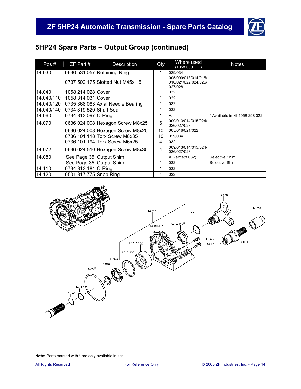![](_page_15_Picture_1.jpeg)

# **5HP24 Spare Parts – Output Group (continued)**

| Pos#       | $ZF$ Part $#$           | Description                       | Qty | Where used<br>(1058 000             | <b>Notes</b>                    |
|------------|-------------------------|-----------------------------------|-----|-------------------------------------|---------------------------------|
| 14.030     |                         | 0630 531 057 Retaining Ring       | 1   | 029/034                             |                                 |
|            |                         |                                   |     | 005/009/013/014/015/                |                                 |
|            |                         | 0737 502 175 Slotted Nut M45x1.5  | 1   | 016/021/022/024/026/                |                                 |
|            |                         |                                   |     | 027/028                             |                                 |
| 14.040     | 1058 214 028 Cover      |                                   | 1   | 032                                 |                                 |
| 14.040/110 | 1058 314 031 Cover      |                                   | 1   | 032                                 |                                 |
| 14.040/120 |                         | 0735 368 083 Axial Needle Bearing |     | 032                                 |                                 |
| 14.040/140 | 0734 319 520 Shaft Seal |                                   | 1   | 032                                 |                                 |
| 14.060     | 0734 313 097 O-Ring     |                                   | 1   | All                                 | * Available in kit 1058 298 022 |
| 14.070     |                         | 0636 024 008 Hexagon Screw M8x25  | 6   | 009/013/014/015/024/                |                                 |
|            |                         |                                   |     | 026/027/028                         |                                 |
|            |                         | 0636 024 008 Hexagon Screw M8x25  | 10  | 005/016/021/022                     |                                 |
|            |                         | 0736 101 118 Torx Screw M8x35     | 10  | 029/034                             |                                 |
|            |                         | 0736 101 194 Torx Screw M6x25     | 4   | 032                                 |                                 |
| 14.072     |                         | 0636 024 510 Hexagon Screw M8x35  | 4   | 009/013/014/015/024/<br>026/027/028 |                                 |
| 14.080     | See Page 35 Output Shim |                                   | 1   | All (except 032)                    | Selective Shim                  |
|            | See Page 35 Output Shim |                                   |     | 032                                 | Selective Shim                  |
| 14.110     | 0734 313 181 O-Ring     |                                   | 1   | 032                                 |                                 |
| 14.120     | 0501 317 775 Snap Ring  |                                   |     | 032                                 |                                 |

![](_page_15_Figure_4.jpeg)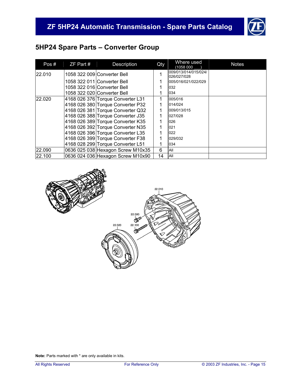![](_page_16_Picture_1.jpeg)

# **5HP24 Spare Parts – Converter Group**

| Pos#   | $ZF$ Part # | Description                       | Qty | Where used<br>(1058 000             | <b>Notes</b> |
|--------|-------------|-----------------------------------|-----|-------------------------------------|--------------|
| 22.010 |             | 1058 322 009 Converter Bell       |     | 009/013/014/015/024/<br>026/027/028 |              |
|        |             | 1058 322 011 Converter Bell       |     | 005/016/021/022/029                 |              |
|        |             | 1058 322 016 Converter Bell       |     | 032                                 |              |
|        |             | 1058 322 020 Converter Bell       |     | 034                                 |              |
| 22.020 |             | 4168 026 376 Torque Converter L31 |     | 005/016                             |              |
|        |             | 4168 026 380 Torque Converter P32 |     | 014/024                             |              |
|        |             | 4168 026 381 Torque Converter Q32 |     | 009/013/015                         |              |
|        |             | 4168 026 388 Torque Converter J35 |     | 027/028                             |              |
|        |             | 4168 026 389 Torque Converter K35 |     | 026                                 |              |
|        |             | 4168 026 392 Torque Converter N35 |     | 021                                 |              |
|        |             | 4168 026 396 Torque Converter L35 |     | 022                                 |              |
|        |             | 4168 026 399 Torque Converter F38 |     | 029/032                             |              |
|        |             | 4168 028 299 Torque Converter L51 |     | 034                                 |              |
| 22.090 |             | 0636 025 038 Hexagon Screw M10x35 | 6   | All                                 |              |
| 22.100 |             | 0636 024 036 Hexagon Screw M10x90 | 14  | All                                 |              |

![](_page_16_Figure_4.jpeg)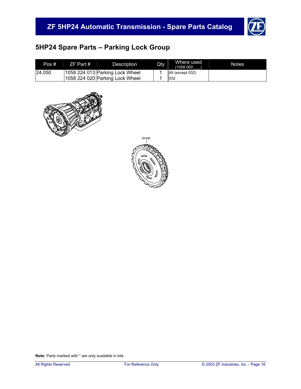![](_page_17_Picture_1.jpeg)

# **5HP24 Spare Parts – Parking Lock Group**

| Pos #   | ZF Part # | Description                     | Qty | Where used<br>(1058 000 | <b>Notes</b> |
|---------|-----------|---------------------------------|-----|-------------------------|--------------|
| 124.050 |           | 1058 224 013 Parking Lock Wheel |     | All (except 032)        |              |
|         |           | 1058 224 020 Parking Lock Wheel |     | 1032                    |              |

![](_page_17_Picture_4.jpeg)

![](_page_17_Picture_5.jpeg)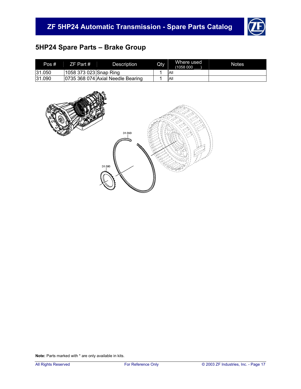![](_page_18_Picture_1.jpeg)

# **5HP24 Spare Parts – Brake Group**

| Pos #  | $ZF$ Part #            | Description                       | Qty | Where used<br>(1058 000 | <b>Notes</b> |
|--------|------------------------|-----------------------------------|-----|-------------------------|--------------|
| 31.050 | 1058 373 023 Snap Ring |                                   |     | All                     |              |
| 31.090 |                        | 0735 368 074 Axial Needle Bearing |     | All                     |              |

![](_page_18_Figure_4.jpeg)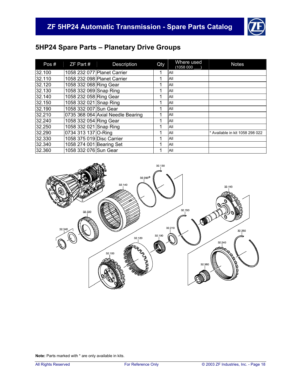![](_page_19_Picture_1.jpeg)

# **5HP24 Spare Parts – Planetary Drive Groups**

| Pos#   | ZF Part #                 | Description                       | Qty | Where used<br>(1058000) | <b>Notes</b>                    |
|--------|---------------------------|-----------------------------------|-----|-------------------------|---------------------------------|
| 32.100 |                           | 1058 232 077 Planet Carrier       | 4   | All                     |                                 |
| 32.110 |                           | 1058 232 098 Planet Carrier       | 1   | All                     |                                 |
| 32.120 | 1058 332 068 Ring Gear    |                                   |     | All                     |                                 |
| 32.130 | 1058 332 069 Snap Ring    |                                   |     | All                     |                                 |
| 32.140 | 1058 232 058 Ring Gear    |                                   | 1   | All                     |                                 |
| 32.150 | 1058 332 021 Snap Ring    |                                   | и   | All                     |                                 |
| 32.190 | 1058 332 007 Sun Gear     |                                   |     | All                     |                                 |
| 32.210 |                           | 0735 368 064 Axial Needle Bearing | 1   | All                     |                                 |
| 32.240 | 1058 332 054 Ring Gear    |                                   |     | All                     |                                 |
| 32.250 | 1058 332 021 Snap Ring    |                                   | 4   | All                     |                                 |
| 32.290 | 0734 313 137 O-Ring       |                                   | 1   | All                     | * Available in kit 1058 298 022 |
| 32.330 | 1058 375 019 Disc Carrier |                                   |     | All                     |                                 |
| 32.340 | 1058 274 001 Bearing Set  |                                   | 4   | All                     |                                 |
| 32.360 | 1058 332 076 Sun Gear     |                                   |     | All                     |                                 |

![](_page_19_Figure_4.jpeg)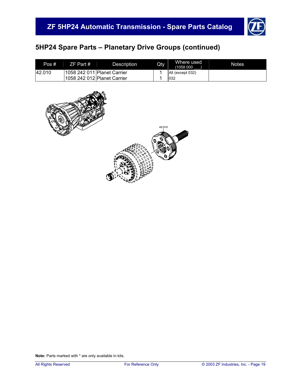![](_page_20_Picture_1.jpeg)

# **5HP24 Spare Parts – Planetary Drive Groups (continued)**

| Pos #  | $ZF$ Part #                  | Description                 | Qty | Where used<br>(1058000) | <b>Notes</b> |
|--------|------------------------------|-----------------------------|-----|-------------------------|--------------|
| 42.010 | l1058 242 011 Planet Carrier |                             |     | All (except 032)        |              |
|        |                              | 1058 242 012 Planet Carrier |     | 1032                    |              |

![](_page_20_Figure_4.jpeg)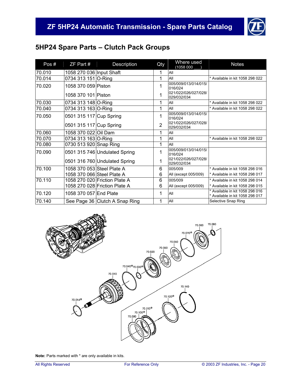![](_page_21_Picture_1.jpeg)

# **5HP24 Spare Parts – Clutch Pack Groups**

| Pos#   | ZF Part #                  | Description                    | Qty            | Where used<br>(1058 000             | <b>Notes</b>                                                       |
|--------|----------------------------|--------------------------------|----------------|-------------------------------------|--------------------------------------------------------------------|
| 70.010 | 1058 270 036 Input Shaft   |                                | 1              | All                                 |                                                                    |
| 70.014 | 0734 313 151 O-Ring        |                                | 1              | All                                 | * Available in kit 1058 298 022                                    |
| 70.020 | 1058 370 059 Piston        |                                | 1              | 005/009/013/014/015/<br>016/024     |                                                                    |
|        | 1058 370 101 Piston        |                                | 1              | 021/022/026/027/028/<br>029/032/034 |                                                                    |
| 70.030 | 0734 313 148 O-Ring        |                                | 1              | All                                 | * Available in kit 1058 298 022                                    |
| 70.040 | 0734 313 163 O-Ring        |                                | 1              | All                                 | * Available in kit 1058 298 022                                    |
| 70.050 | 0501 315 117 Cup Spring    |                                | 1              | 005/009/013/014/015/<br>016/024     |                                                                    |
|        | 0501 315 117 Cup Spring    |                                | $\overline{2}$ | 021/022/026/027/028/<br>029/032/034 |                                                                    |
| 70.060 | 1058 370 022 Oil Dam       |                                | 1              | All                                 |                                                                    |
| 70.070 | 0734 313 163 O-Ring        |                                | 1              | All                                 | * Available in kit 1058 298 022                                    |
| 70.080 | 0730 513 920 Snap Ring     |                                | 1              | All                                 |                                                                    |
| 70.090 |                            | 0501 315 746 Undulated Spring  | 1              | 005/009/013/014/015/<br>016/024     |                                                                    |
|        |                            | 0501 316 760 Undulated Spring  | 1              | 021/022/026/027/028/<br>029/032/034 |                                                                    |
| 70.100 | 1058 370 053 Steel Plate A |                                | 6              | 005/009                             | * Available in kit 1058 298 016                                    |
|        | 1058 370 066 Steel Plate A |                                | 6              | All (except 005/009)                | * Available in kit 1058 298 017                                    |
| 70.110 |                            | 1058 270 020 Friction Plate A  | 6              | 005/009                             | Available in kit 1058 298 014                                      |
|        |                            | 1058 270 028 Friction Plate A  | 6              | All (except 005/009)                | * Available in kit 1058 298 015                                    |
| 70.120 | 1058 370 057 End Plate     |                                | 1              | All                                 | * Available in kit 1058 298 016<br>* Available in kit 1058 298 017 |
| 70.140 |                            | See Page 36 Clutch A Snap Ring | 1              | All                                 | Selective Snap Ring                                                |

![](_page_21_Figure_4.jpeg)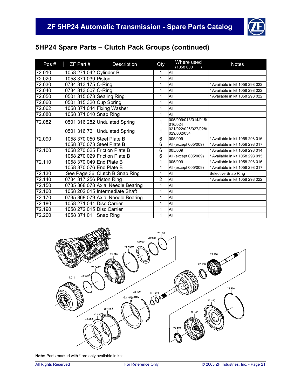![](_page_22_Picture_1.jpeg)

| Pos#   | ZF Part #                  | Description                       | Qty | Where used<br>(1058 000             | <b>Notes</b>                    |
|--------|----------------------------|-----------------------------------|-----|-------------------------------------|---------------------------------|
| 72.010 | 1058 271 042 Cylinder B    |                                   | 1   | All                                 |                                 |
| 72.020 | 1058 371 039 Piston        |                                   | 1   | All                                 |                                 |
| 72.030 | 0734 313 175 O-Ring        |                                   | 1   | All                                 | * Available in kit 1058 298 022 |
| 72.040 | 0734 313 007 O-Ring        |                                   | 1   | All                                 | * Available in kit 1058 298 022 |
| 72.050 | 0501 315 073 Sealing Ring  |                                   | 1   | All                                 | * Available in kit 1058 298 022 |
| 72.060 | 0501 315 320 Cup Spring    |                                   | 1   | All                                 |                                 |
| 72.062 |                            | 1058 371 044 Fixing Washer        | 1   | All                                 |                                 |
| 72.080 | 1058 371 010 Snap Ring     |                                   | 1   | All                                 |                                 |
| 72.082 |                            | 0501 316 282 Undulated Spring     | 1   | 005/009/013/014/015/<br>016/024     |                                 |
|        |                            | 0501 316 761 Undulated Spring     | 1   | 021/022/026/027/028/<br>029/032/034 |                                 |
| 72.090 | 1058 370 050 Steel Plate B |                                   | 6   | 005/009                             | * Available in kit 1058 298 016 |
|        | 1058 370 073 Steel Plate B |                                   | 6   | All (except 005/009)                | * Available in kit 1058 298 017 |
| 72.100 |                            | 1058 270 025 Friction Plate B     | 6   | 005/009                             | * Available in kit 1058 298 014 |
|        |                            | 1058 270 029 Friction Plate B     | 6   | All (except 005/009)                | * Available in kit 1058 298 015 |
| 72.110 | 1058 370 049 End Plate B   |                                   | 1   | 005/009                             | * Available in kit 1058 298 016 |
|        | 1058 370 076 End Plate B   |                                   | 1   | All (except 005/009)                | * Available in kit 1058 298 017 |
| 72.130 |                            | See Page 36 Clutch B Snap Ring    | 1   | All                                 | Selective Snap Ring             |
| 72.140 | 0734 317 256 Piston Ring   |                                   | 2   | All                                 | * Available in kit 1058 298 022 |
| 72.150 |                            | 0735 368 078 Axial Needle Bearing | 1   | All                                 |                                 |
| 72.160 |                            | 1058 202 015 Intermediate Shaft   | 1   | All                                 |                                 |
| 72.170 |                            | 0735 368 079 Axial Needle Bearing | 1   | All                                 |                                 |
| 72.180 | 1058 271 041 Disc Carrier  |                                   | 1   | All                                 |                                 |
| 72.190 | 1058 272 015 Disc Carrier  |                                   | 1   | All                                 |                                 |
| 72.200 | 1058 371 011 Snap Ring     |                                   | 1   | All                                 |                                 |

![](_page_22_Figure_4.jpeg)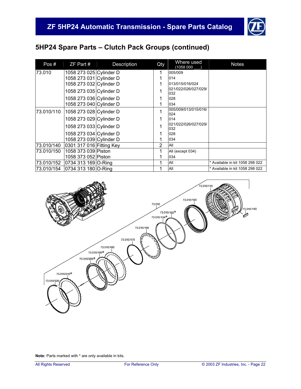![](_page_23_Picture_1.jpeg)

| Pos#       | $ZF$ Part #              | Description | Qty | Where used<br>(1058 000     | <b>Notes</b>                    |
|------------|--------------------------|-------------|-----|-----------------------------|---------------------------------|
| 73.010     | 1058 273 025 Cylinder D  |             | 1   | 005/009                     |                                 |
|            | 1058 273 031 Cylinder D  |             |     | 014                         |                                 |
|            | 1058 273 032 Cylinder D  |             |     | 013/015/016/024             |                                 |
|            | 1058 273 035 Cylinder D  |             |     | 021/022/026/027/029/<br>032 |                                 |
|            | 1058 273 036 Cylinder D  |             |     | 028                         |                                 |
|            | 1058 273 040 Cylinder D  |             |     | 034                         |                                 |
| 73.010/110 | 1058 273 028 Cylinder D  |             | 1   | 005/009/013/015/016/<br>024 |                                 |
|            | 1058 273 029 Cylinder D  |             |     | 014                         |                                 |
|            | 1058 273 033 Cylinder D  |             |     | 021/022/026/027/029/<br>032 |                                 |
|            | 1058 273 034 Cylinder D  |             |     | 028                         |                                 |
|            | 1058 273 039 Cylinder D  |             |     | 034                         |                                 |
| 73.010/140 | 0301 317 016 Fitting Key |             | 2   | All                         |                                 |
| 73.010/150 | 1058 373 039 Piston      |             | 1   | All (except 034)            |                                 |
|            | 1058 373 052 Piston      |             |     | 034                         |                                 |
| 73.010/152 | 0734 313 169 O-Ring      |             |     | All                         | * Available in kit 1058 298 022 |
| 73.010/154 | 0734 313 180 O-Ring      |             |     | All                         | * Available in kit 1058 298 022 |

![](_page_23_Figure_4.jpeg)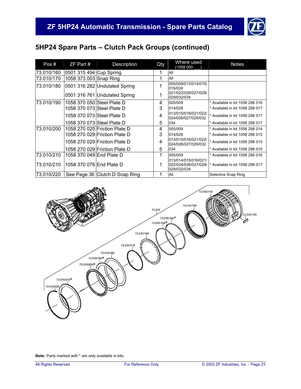![](_page_24_Picture_1.jpeg)

| Pos#       | $ZF$ Part $#$              | Description                    | Qty | Where used<br>(1058 000                                     | <b>Notes</b>                    |
|------------|----------------------------|--------------------------------|-----|-------------------------------------------------------------|---------------------------------|
| 73.010/160 | 0501 315 494 Cup Spring    |                                |     | All                                                         |                                 |
| 73.010/170 | 1058 373 003 Snap Ring     |                                | 1   | All                                                         |                                 |
| 73.010/180 |                            | 0501 316 282 Undulated Spring  | 1   | 005/009/013/014/015/<br>016/024                             |                                 |
|            |                            | 0501 316 761 Undulated Spring  | 1   | 021/022/026/027/028/<br>029/032/034                         |                                 |
| 73.010/190 | 1058 370 050 Steel Plate D |                                | 4   | 005/009                                                     | * Available in kit 1058 298 016 |
|            | 1058 370 073 Steel Plate D |                                | 3   | 014/028                                                     | * Available in kit 1058 298 017 |
|            | 1058 370 073 Steel Plate D |                                | 4   | 013/015/016/021/022/<br>024/026/027/029/032                 | * Available in kit 1058 298 017 |
|            | 1058 370 073 Steel Plate D |                                | 5   | 034                                                         | * Available in kit 1058 298 017 |
| 73.010/200 |                            | 1058 270 025 Friction Plate D  | 4   | 005/009                                                     | * Available in kit 1058 298 014 |
|            |                            | 1058 270 029 Friction Plate D  | 3   | 014/028                                                     | * Available in kit 1058 298 015 |
|            |                            | 1058 270 029 Friction Plate D  | 4   | 013/015/016/021/022/<br>024/026/027/029/032                 | * Available in kit 1058 298 015 |
|            |                            | 1058 270 029 Friction Plate D  | 5   | 034                                                         | * Available in kit 1058 298 015 |
| 73.010/210 | 1058 370 049 End Plate D   |                                | 1   | 005/009                                                     | * Available in kit 1058 298 016 |
| 73.010/210 | 1058 370 076 End Plate D   |                                | 1   | 013/014/015/016/021/<br>022/024/026/027/028/<br>029/032/034 | * Available in kit 1058 298 017 |
| 73.010/220 |                            | See Page 36 Clutch D Snap Ring |     | All                                                         | Selective Snap Ring             |

![](_page_24_Figure_4.jpeg)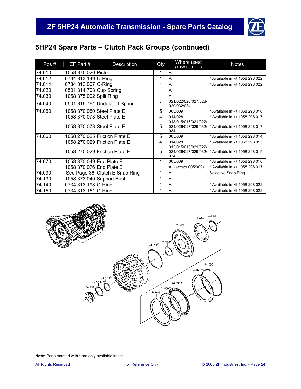![](_page_25_Picture_1.jpeg)

| Pos#   | $ZF$ Part $#$              | Description                    | Qty | Where used<br>(1058 000             | <b>Notes</b>                                          |
|--------|----------------------------|--------------------------------|-----|-------------------------------------|-------------------------------------------------------|
| 74.010 | 1058 375 020 Piston        |                                | 1   | All                                 |                                                       |
| 74.012 | 0734 313 149 O-Ring        |                                | 1   | All                                 | * Available in kit 1058 298 022                       |
| 74.014 | 0734 313 007 O-Ring        |                                | 1   | All                                 | * Available in kit 1058 298 022                       |
| 74.020 | 0501 314 708 Cup Spring    |                                | 1   | All                                 |                                                       |
| 74.030 | 1058 375 002 Split Ring    |                                | 1   | All                                 |                                                       |
| 74.040 |                            | 0501 316 761 Undulated Spring  | 1   | 021/022/026/027/028/<br>029/032/034 |                                                       |
| 74.050 | 1058 370 050 Steel Plate E |                                | 5   | 005/009                             | * Available in kit 1058 298 016                       |
|        | 1058 370 073 Steel Plate E |                                | 4   | 014/028                             | * Available in kit 1058 298 017                       |
|        | 1058 370 073 Steel Plate E |                                | 5   | 013/015/016/021/022/<br>034         | 024/026/027/029/032/  * Available in kit 1058 298 017 |
| 74.060 |                            | 1058 270 025 Friction Plate E  | 5   | 005/009                             | * Available in kit 1058 298 014                       |
|        |                            | 1058 270 029 Friction Plate E  | 4   | 014/028                             | * Available in kit 1058 298 015                       |
|        |                            | 1058 270 029 Friction Plate E  | 5   | 013/015/016/021/022/<br>034         | 024/026/027/029/032/  * Available in kit 1058 298 015 |
| 74.070 | 1058 370 049 End Plate E   |                                | 1   | 005/009                             | * Available in kit 1058 298 016                       |
|        | 1058 370 076 End Plate E   |                                | 1   | All (except 005/009)                | * Available in kit 1058 298 017                       |
| 74.090 |                            | See Page 36 Clutch E Snap Ring | 1   | All                                 | Selective Snap Ring                                   |
| 74.130 |                            | 1058 373 040 Support Bush      | 1   | All                                 |                                                       |
| 74.140 | 0734 313 198 O-Ring        |                                | 1   | All                                 | * Available in kit 1058 298 022                       |
| 74.150 | 0734 313 151 O-Ring        |                                | 1   | All                                 | * Available in kit 1058 298 022                       |

![](_page_25_Figure_4.jpeg)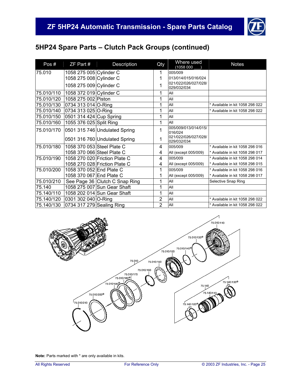![](_page_26_Picture_1.jpeg)

| Pos#       | ZF Part #                  | Description                    | Qty            | Where used<br>(1058 000             | <b>Notes</b>                    |
|------------|----------------------------|--------------------------------|----------------|-------------------------------------|---------------------------------|
| 75.010     | 1058 275 005 Cylinder C    |                                | 1              | 005/009                             |                                 |
|            | 1058 275 008 Cylinder C    |                                | 1              | 013/014/015/016/024                 |                                 |
|            | 1058 275 009 Cylinder C    |                                | 1              | 021/022/026/027/028/<br>029/032/034 |                                 |
| 75.010/110 | 1058 372 019 Cylinder C    |                                | 1              | All                                 |                                 |
| 75.010/120 | 1058 275 002 Piston        |                                | 1              | All                                 |                                 |
| 75.010/130 | 0734 313 014 O-Ring        |                                | 1              | All                                 | * Available in kit 1058 298 022 |
| 75.010/140 | 0734 313 025 O-Ring        |                                | 1              | All                                 | * Available in kit 1058 298 022 |
| 75.010/150 | 0501 314 424 Cup Spring    |                                | 1              | All                                 |                                 |
| 75.010/160 | 1055 376 025 Split Ring    |                                | 1              | All                                 |                                 |
| 75.010/170 |                            | 0501 315 746 Undulated Spring  | 1              | 005/009/013/014/015/<br>016/024     |                                 |
|            |                            | 0501 316 760 Undulated Spring  | 1              | 021/022/026/027/028/<br>029/032/034 |                                 |
| 75.010/180 | 1058 370 053 Steel Plate C |                                | 4              | 005/009                             | * Available in kit 1058 298 016 |
|            | 1058 370 066 Steel Plate C |                                | 4              | All (except 005/009)                | * Available in kit 1058 298 017 |
| 75.010/190 |                            | 1058 270 020 Friction Plate C  | 4              | 005/009                             | * Available in kit 1058 298 014 |
|            |                            | 1058 270 028 Friction Plate C  | 4              | All (except 005/009)                | * Available in kit 1058 298 015 |
| 75.010/200 | 1058 370 052 End Plate C   |                                | 1              | 005/009                             | * Available in kit 1058 298 016 |
|            | 1058 370 067 End Plate C   |                                | 1              | All (except 005/009)                | * Available in kit 1058 298 017 |
| 75.010/210 |                            | See Page 36 Clutch C Snap Ring | 1              | All                                 | Selective Snap Ring             |
| 75.140     |                            | 1058 275 007 Sun Gear Shaft    | 1              | All                                 |                                 |
| 75.140/110 |                            | 1058 202 014 Sun Gear Shaft    | 1              | All                                 |                                 |
| 75.140/120 | 0301 302 040 O-Ring        |                                | $\overline{2}$ | All                                 | * Available in kit 1058 298 022 |
| 75.140/130 | 0734 317 279 Sealing Ring  |                                | $\overline{2}$ | All                                 | * Available in kit 1058 298 022 |

![](_page_26_Figure_4.jpeg)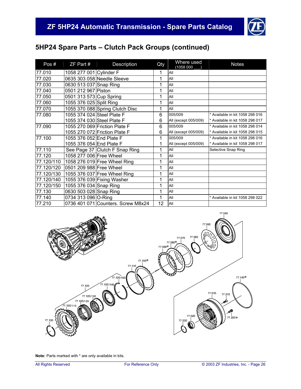![](_page_27_Picture_1.jpeg)

| Pos#       | ZF Part #                  | Description                        | Qty | Where used<br>(1058 000 | <b>Notes</b>                    |
|------------|----------------------------|------------------------------------|-----|-------------------------|---------------------------------|
| 77.010     | 1058 277 001 Cylinder F    |                                    | 1   | All                     |                                 |
| 77.020     |                            | 0635 303 058 Needle Sleeve         | 1   | All                     |                                 |
| 77.030     | 0630 513 037 Snap Ring     |                                    | 1   | All                     |                                 |
| 77.040     | 0501 212 967 Piston        |                                    | 1   | All                     |                                 |
| 77.050     | 0501 313 573 Cup Spring    |                                    | 1   | All                     |                                 |
| 77.060     | 1055 376 025 Split Ring    |                                    | 1   | All                     |                                 |
| 77.070     |                            | 1055 370 088 Spring Clutch Disc    | 1   | All                     |                                 |
| 77.080     | 1055 374 024 Steel Plate F |                                    | 6   | 005/009                 | * Available in kit 1058 298 016 |
|            | 1055 374 030 Steel Plate F |                                    | 6   | All (except 005/009)    | * Available in kit 1058 298 017 |
| 77.090     |                            | 1055 270 069 Friction Plate F      | 6   | 005/009                 | * Available in kit 1058 298 014 |
|            |                            | 1055 270 072 Friction Plate F      | 6   | All (except 005/009)    | * Available in kit 1058 298 015 |
| 77.100     | 1055 376 052 End Plate F   |                                    | 1   | 005/009                 | * Available in kit 1058 298 016 |
|            | 1055 376 054 End Plate F   |                                    |     | All (except 005/009)    | * Available in kit 1058 298 017 |
| 77.110     |                            | See Page 37 Clutch F Snap Ring     | 1   | All                     | Selective Snap Ring             |
| 77.120     | 1058 277 006 Free Wheel    |                                    | 1   | All                     |                                 |
| 77.120/110 |                            | 1058 276 019 Free Wheel Ring       | 1   | All                     |                                 |
| 77.120/120 | 0501 209 988 Free Wheel    |                                    | 1   | All                     |                                 |
| 77.120/130 |                            | 1055 376 037 Free Wheel Ring       | 1   | All                     |                                 |
| 77.120/140 |                            | 1055 376 039 Fixing Washer         | 1   | All                     |                                 |
| 77.120/150 | 1055 376 034 Snap Ring     |                                    | 1   | All                     |                                 |
| 77.130     | 0630 503 028 Snap Ring     |                                    | 1   | All                     |                                 |
| 77.140     | 0734 313 096 O-Ring        |                                    | 1   | All                     | * Available in kit 1058 298 022 |
| 77.210     |                            | 0736 401 071 Counters. Screw M8x24 | 12  | All                     |                                 |

![](_page_27_Figure_4.jpeg)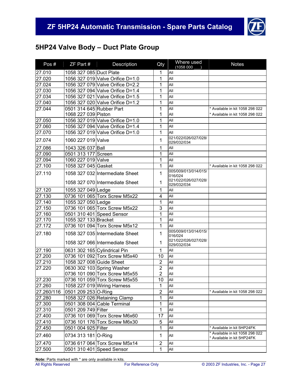![](_page_28_Picture_1.jpeg)

# **5HP24 Valve Body – Duct Plate Group**

| Pos#       | ZF Part #                | <b>Description</b>               | Qty              | Where used<br>(1058 000                        | <b>Notes</b>                                              |
|------------|--------------------------|----------------------------------|------------------|------------------------------------------------|-----------------------------------------------------------|
| 27.010     | 1058 327 085 Duct Plate  |                                  | 1                | All                                            |                                                           |
| 27.020     |                          | 1056 327 019 Valve Orifice D=1.0 | $\mathbf{1}$     | All                                            |                                                           |
| 27.024     |                          | 1056 327 079 Valve Orifice D=2.2 | 1                | All                                            |                                                           |
| 27.030     |                          | 1056 327 094 Valve Orifice D=1.4 | 1                | All                                            |                                                           |
| 27.034     |                          | 1056 327 021 Valve Orifice D=1.5 | 1                | All                                            |                                                           |
| 27.040     |                          | 1056 327 020 Valve Orifice D=1.2 | 1                | All                                            |                                                           |
| 27.044     | 0501 314 645 Rubber Part |                                  | 1                | All                                            | * Available in kit 1058 298 022                           |
|            | 1068 227 039 Piston      |                                  | 1                | All                                            | * Available in kit 1058 298 022                           |
| 27.050     |                          | 1056 327 019 Valve Orifice D=1.0 | 1                | All                                            |                                                           |
| 27.060     |                          | 1056 327 094 Valve Orifice D=1.4 | 1                | All                                            |                                                           |
| 27.070     |                          | 1056 327 019 Valve Orifice D=1.0 | 1                | All                                            |                                                           |
| 27.074     | 1060 227 019 Valve       |                                  | 1                | 021/022/026/027/028/<br>029/032/034            |                                                           |
| 27.086     | 1043 326 037 Ball        |                                  | 1                | All                                            |                                                           |
| 27.090     | 0501 313 177 Screen      |                                  | 1                | All                                            |                                                           |
| 27.094     | 1060 227 019 Valve       |                                  | $\mathbf 1$      | All                                            |                                                           |
| 27.100     | 1058 327 045 Gasket      |                                  | 1                | All                                            | * Available in kit 1058 298 022                           |
| 27.110     |                          | 1058 327 032 Intermediate Sheet  | 1                | 005/009/013/014/015/                           |                                                           |
|            |                          | 1058 327 070 Intermediate Sheet  | 1                | 016/024<br>021/022/026/027/028/<br>029/032/034 |                                                           |
| 27.120     | 1055 327 049 Ledge       |                                  | 1                | All                                            |                                                           |
| 27.130     |                          | 0736 101 065 Torx Screw M5x22    | 4                | All                                            |                                                           |
| 27.140     | 1055 327 050 Ledge       |                                  | 1                | All                                            |                                                           |
| 27.150     |                          | 0736 101 065 Torx Screw M5x22    | 3                | All                                            |                                                           |
| 27.160     |                          | 0501 310 401 Speed Sensor        | 1                | All                                            |                                                           |
| 27.170     | 1055 327 133 Bracket     |                                  | 1                | All                                            |                                                           |
| 27.172     |                          | 0736 101 094 Torx Screw M5x12    | 1                | All                                            |                                                           |
|            |                          |                                  |                  | 005/009/013/014/015/                           |                                                           |
| 27.180     |                          | 1058 327 035 Intermediate Sheet  | 1                | 016/024<br>021/022/026/027/028/                |                                                           |
|            |                          | 1058 327 066 Intermediate Sheet  | 1                | 029/032/034                                    |                                                           |
| 27.190     |                          | 0631 302 165 Cylindrical Pin     | 1                | All                                            |                                                           |
| 27.200     |                          | 0736 101 092 Torx Screw M5x40    | 10               | All                                            |                                                           |
| 27.210     | 1058 327 008 Guide Sheet |                                  | $\overline{2}$   | All                                            |                                                           |
| 27.220     |                          | 0630 302 103 Spring Washer       | $\overline{2}$   | All                                            |                                                           |
|            |                          | 0736 101 090 Torx Screw M5x55    | $\overline{2}$   | All                                            |                                                           |
| 27.230     |                          | 0736 101 059 Torx Screw M5x55    | 10               | All                                            |                                                           |
| 27.260     |                          | 1058 227 019 Wiring Harness      | 1                | All                                            |                                                           |
| 27.260/116 | 0501 209 253 O-Ring      |                                  | $\overline{2}$   | All                                            | * Available in kit 1058 298 022                           |
| 27.280     |                          | 1058 327 026 Retaining Clamp     | 1                | All                                            |                                                           |
| 27.300     |                          | 0501 308 004 Cable Terminal      | 1                | All                                            |                                                           |
| 27.310     | 0501 209 749 Filter      |                                  | 1                | All                                            |                                                           |
| 27.400     |                          | 0736 101 069 Torx Screw M6x60    | 17               | All                                            |                                                           |
| 27.410     |                          | 0736 101 176 Torx Screw M6x30    | 5                | All                                            |                                                           |
| 27.450     | 0501 004 925 Filter      |                                  | 1                | All                                            | Available in kit 5HP24FK                                  |
| 27.460     | 0734 313 181 O-Ring      |                                  | 1                | All                                            | Available in kit 1058 298 022<br>Available in kit 5HP24FK |
| 27.470     |                          | 0736 617 064 Torx Screw M5x14    | $\boldsymbol{2}$ | All                                            |                                                           |
| 27.500     |                          | 0501 310 401 Speed Sensor        | 1                | All                                            |                                                           |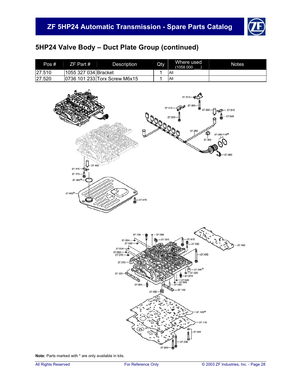![](_page_29_Picture_1.jpeg)

# **5HP24 Valve Body – Duct Plate Group (continued)**

| Pos#    | $ZF$ Part #          | <b>Description</b>            | Qty | Where used<br>(1058 000 | <b>Notes</b> |
|---------|----------------------|-------------------------------|-----|-------------------------|--------------|
| 127.510 | 1055 327 034 Bracket |                               |     | <b>All</b>              |              |
| 27.520  |                      | 0736 101 233 Torx Screw M6x15 |     | <b>AII</b>              |              |

![](_page_29_Figure_4.jpeg)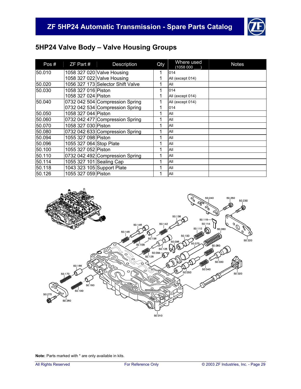![](_page_30_Picture_1.jpeg)

# **5HP24 Valve Body – Valve Housing Groups**

| Pos#   | $ZF$ Part #              | Description                       | Qty | Where used<br>(1058 000 | <b>Notes</b> |
|--------|--------------------------|-----------------------------------|-----|-------------------------|--------------|
| 50.010 |                          | 1058 327 020 Valve Housing        | 1   | 014                     |              |
|        |                          | 1058 327 022 Valve Housing        |     | All (except 014)        |              |
| 50.020 |                          | 1056 327 173 Selector Shift Valve |     | All                     |              |
| 50.030 | 1058 327 016 Piston      |                                   |     | 014                     |              |
|        | 1058 327 024 Piston      |                                   |     | All (except 014)        |              |
| 50.040 |                          | 0732 042 504 Compression Spring   |     | All (except 014)        |              |
|        |                          | 0732 042 534 Compression Spring   |     | 014                     |              |
| 50.050 | 1058 327 044 Piston      |                                   | 1   | All                     |              |
| 50.060 |                          | 0732 042 477 Compression Spring   |     | All                     |              |
| 50.070 | 1058 327 030 Piston      |                                   |     | All                     |              |
| 50.080 |                          | 0732 042 633 Compression Spring   |     | All                     |              |
| 50.094 | 1055 327 098 Piston      |                                   | 1   | All                     |              |
| 50.096 | 1055 327 064 Stop Plate  |                                   |     | All                     |              |
| 50.100 | 1055 327 052 Piston      |                                   |     | All                     |              |
| 50.110 |                          | 0732 042 492 Compression Spring   |     | All                     |              |
| 50.114 | 1055 327 101 Sealing Cap |                                   |     | All                     |              |
| 50.118 |                          | 1043 323 105 Support Plate        |     | All                     |              |
| 50.126 | 1055 327 059 Piston      |                                   |     | All                     |              |

![](_page_30_Figure_4.jpeg)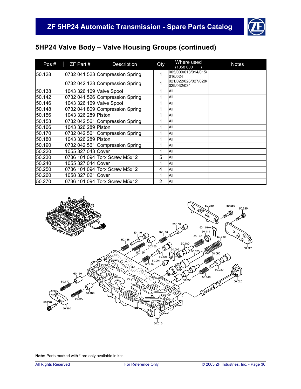![](_page_31_Picture_1.jpeg)

| Pos#   | $ZF$ Part #              | Description                     | Qty            | Where used<br>(1058 000             | <b>Notes</b> |
|--------|--------------------------|---------------------------------|----------------|-------------------------------------|--------------|
| 50.128 |                          | 0732 041 523 Compression Spring | 1              | 005/009/013/014/015/<br>016/024     |              |
|        |                          | 0732 042 123 Compression Spring | 1              | 021/022/026/027/028/<br>029/032/034 |              |
| 50.138 | 1043 326 169 Valve Spool |                                 | 1              | All                                 |              |
| 50.142 |                          | 0732 041 526 Compression Spring | 1              | All                                 |              |
| 50.146 | 1043 326 169 Valve Spool |                                 | 1              | All                                 |              |
| 50.148 |                          | 0732 041 809 Compression Spring | 1              | All                                 |              |
| 50.156 | 1043 326 289 Piston      |                                 | 1              | All                                 |              |
| 50.158 |                          | 0732 042 561 Compression Spring | 1              | All                                 |              |
| 50.166 | 1043 326 289 Piston      |                                 | 1              | All                                 |              |
| 50.170 |                          | 0732 042 561 Compression Spring | 1              | All                                 |              |
| 50.180 | 1043 326 289 Piston      |                                 | 1              | All                                 |              |
| 50.190 |                          | 0732 042 561 Compression Spring | 1              | All                                 |              |
| 50.220 | 1055 327 043 Cover       |                                 | 1              | All                                 |              |
| 50.230 |                          | 0736 101 094 Torx Screw M5x12   | 5              | All                                 |              |
| 50.240 | 1055 327 044 Cover       |                                 | 1              | All                                 |              |
| 50.250 |                          | 0736 101 094 Torx Screw M5x12   | 4              | All                                 |              |
| 50.260 | 1058 327 021 Cover       |                                 | 1              | All                                 |              |
| 50.270 |                          | 0736 101 094 Torx Screw M5x12   | $\overline{2}$ | All                                 |              |

![](_page_31_Picture_4.jpeg)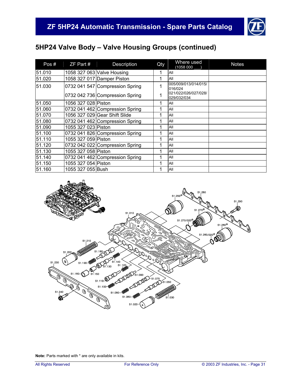![](_page_32_Picture_1.jpeg)

| Pos#   | $ZF$ Part #         | Description                     | Qty | Where used<br>(1058 000             | <b>Notes</b> |
|--------|---------------------|---------------------------------|-----|-------------------------------------|--------------|
| 51.010 |                     | 1058 327 063 Valve Housing      |     | All                                 |              |
| 51.020 |                     | 1058 327 017 Damper Piston      | 1   | All                                 |              |
| 51.030 |                     | 0732 041 547 Compression Spring |     | 005/009/013/014/015/<br>016/024     |              |
|        |                     | 0732 042 736 Compression Spring |     | 021/022/026/027/028/<br>029/032/034 |              |
| 51.050 | 1056 327 028 Piston |                                 |     | All                                 |              |
| 51.060 |                     | 0732 041 462 Compression Spring |     | All                                 |              |
| 51.070 |                     | 1056 327 029 Gear Shift Slide   | 1   | All                                 |              |
| 51.080 |                     | 0732 041 462 Compression Spring |     | All                                 |              |
| 51.090 | 1055 327 023 Piston |                                 |     | All                                 |              |
| 51.100 |                     | 0732 041 826 Compression Spring | 1   | All                                 |              |
| 51.110 | 1055 327 059 Piston |                                 | и   | All                                 |              |
| 51.120 |                     | 0732 042 022 Compression Spring |     | All                                 |              |
| 51.130 | 1055 327 058 Piston |                                 | и   | All                                 |              |
| 51.140 |                     | 0732 041 462 Compression Spring |     | All                                 |              |
| 51.150 | 1055 327 054 Piston |                                 | 1   | All                                 |              |
| 51.160 | 1055 327 055 Bush   |                                 |     | All                                 |              |

![](_page_32_Figure_4.jpeg)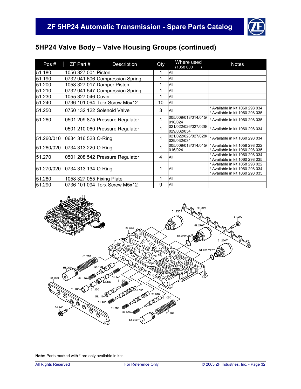![](_page_33_Picture_1.jpeg)

| Pos#       | $ZF$ Part #               | Description                     | Qty | Where used<br>(1058 000             | <b>Notes</b>                                                                                          |
|------------|---------------------------|---------------------------------|-----|-------------------------------------|-------------------------------------------------------------------------------------------------------|
| 51.180     | 1056 327 001 Piston       |                                 | 1   | All                                 |                                                                                                       |
| 51.190     |                           | 0732 041 606 Compression Spring | 1   | All                                 |                                                                                                       |
| 51.200     |                           | 1058 327 017 Damper Piston      | 1   | All                                 |                                                                                                       |
| 51.210     |                           | 0732 041 547 Compression Spring | 1   | All                                 |                                                                                                       |
| 51.230     | 1055 327 046 Cover        |                                 | 1   | All                                 |                                                                                                       |
| 51.240     |                           | 0736 101 094 Torx Screw M5x12   | 10  | All                                 |                                                                                                       |
| 51.250     |                           | 0750 132 122 Solenoid Valve     | 3   | All                                 | Available in kit 1060 298 034<br>* Available in kit 1060 298 035                                      |
| 51.260     |                           | 0501 209 875 Pressure Regulator | 1   | 005/009/013/014/015/<br>016/024     | * Available in kit 1060 298 035                                                                       |
|            |                           | 0501 210 060 Pressure Regulator | 1   | 021/022/026/027/028/<br>029/032/034 | * Available in kit 1060 298 034                                                                       |
| 51.260/010 | 0634 316 523 O-Ring       |                                 | 1   | 021/022/026/027/028/<br>029/032/034 | * Available in kit 1060 298 034                                                                       |
| 51.260/020 | 0734 313 220 O-Ring       |                                 | 1   | 005/009/013/014/015/<br>016/024     | * Available in kit 1058 298 022<br>* Available in kit 1060 298 035                                    |
| 51.270     |                           | 0501 208 542 Pressure Regulator | 4   | All                                 | * Available in kit 1060 298 034<br>* Available in kit 1060 298 035                                    |
| 51.270/020 | 0734 313 134 O-Ring       |                                 | 1   | All                                 | * Available in kit 1058 298 022<br>* Available in kit 1060 298 034<br>* Available in kit 1060 298 035 |
| 51.280     | 1058 327 055 Fixing Plate |                                 | 1   | All                                 |                                                                                                       |
| 51.290     |                           | 0736 101 094 Torx Screw M5x12   | 9   | All                                 |                                                                                                       |

![](_page_33_Figure_4.jpeg)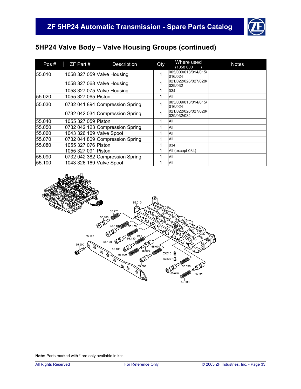![](_page_34_Picture_1.jpeg)

| Pos#   | $ZF$ Part #              | Description                     | Qty | Where used<br>(1058 000             | <b>Notes</b> |
|--------|--------------------------|---------------------------------|-----|-------------------------------------|--------------|
| 55.010 |                          | 1058 327 059 Valve Housing      | 1   | 005/009/013/014/015/<br>016/024     |              |
|        |                          | 1058 327 068 Valve Housing      |     | 021/022/026/027/028/<br>029/032     |              |
|        |                          | 1058 327 075 Valve Housing      | 1   | 034                                 |              |
| 55.020 | 1055 327 065 Piston      |                                 |     | All                                 |              |
| 55.030 |                          | 0732 041 894 Compression Spring |     | 005/009/013/014/015/<br>016/024     |              |
|        |                          | 0732 042 034 Compression Spring |     | 021/022/026/027/028/<br>029/032/034 |              |
| 55.040 | 1055 327 059 Piston      |                                 |     | All                                 |              |
| 55.050 |                          | 0732 042 123 Compression Spring |     | All                                 |              |
| 55.060 | 1043 326 169 Valve Spool |                                 |     | All                                 |              |
| 55.070 |                          | 0732 041 809 Compression Spring |     | All                                 |              |
| 55.080 | 1055 327 076 Piston      |                                 | 1   | 034                                 |              |
|        | 1055 327 091 Piston      |                                 |     | All (except 034)                    |              |
| 55.090 |                          | 0732 042 382 Compression Spring |     | All                                 |              |
| 55.100 | 1043 326 169 Valve Spool |                                 |     | All                                 |              |

![](_page_34_Figure_4.jpeg)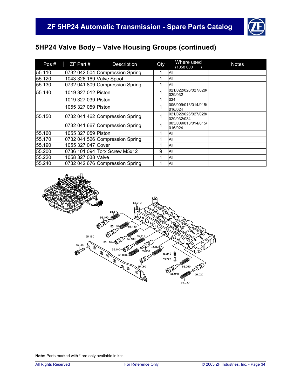![](_page_35_Picture_1.jpeg)

| Pos#   | $ZF$ Part $#$            | Description                     | Qty | Where used<br>(1058 000             | <b>Notes</b> |
|--------|--------------------------|---------------------------------|-----|-------------------------------------|--------------|
| 55.110 |                          | 0732 042 504 Compression Spring |     | All                                 |              |
| 55.120 | 1043 326 169 Valve Spool |                                 |     | All                                 |              |
| 55.130 |                          | 0732 041 809 Compression Spring |     | All                                 |              |
| 55.140 | 1019 327 012 Piston      |                                 |     | 021/022/026/027/028/<br>029/032     |              |
|        | 1019 327 039 Piston      |                                 |     | 034                                 |              |
|        | 1055 327 059 Piston      |                                 |     | 005/009/013/014/015/<br>016/024     |              |
| 55.150 |                          | 0732 041 462 Compression Spring |     | 021/022/026/027/028/<br>029/032/034 |              |
|        |                          | 0732 041 667 Compression Spring |     | 005/009/013/014/015/<br>016/024     |              |
| 55.160 | 1055 327 059 Piston      |                                 |     | All                                 |              |
| 55.170 |                          | 0732 041 526 Compression Spring |     | All                                 |              |
| 55.190 | 1055 327 047 Cover       |                                 |     | All                                 |              |
| 55.200 |                          | 0736 101 094 Torx Screw M5x12   | 9   | All                                 |              |
| 55.220 | 1058 327 038 Valve       |                                 | 1   | All                                 |              |
| 55.240 |                          | 0732 042 676 Compression Spring |     | All                                 |              |

![](_page_35_Figure_4.jpeg)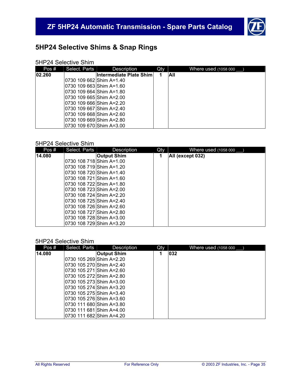![](_page_36_Picture_1.jpeg)

# **5HP24 Selective Shims & Snap Rings**

#### 5HP24 Selective Shim

| Pos#   | Select. Parts              | Description              | Qty | Where used (1058 000 |
|--------|----------------------------|--------------------------|-----|----------------------|
| 02.260 |                            | Intermediate Plate Shiml |     | All                  |
|        | 0730 109 662 Shim A=1.40   |                          |     |                      |
|        | 0730 109 663 Shim A=1.60   |                          |     |                      |
|        | 0730 109 664 Shim A=1.80   |                          |     |                      |
|        | 0730 109 665 Shim A=2.00   |                          |     |                      |
|        | 0730 109 666 Shim A=2.20   |                          |     |                      |
|        | 0730 109 667   Shim A=2.40 |                          |     |                      |
|        | 0730 109 668 Shim A=2.60   |                          |     |                      |
|        | 0730 109 669 Shim A=2.80   |                          |     |                      |
|        | 0730 109 670 Shim A=3.00   |                          |     |                      |

#### 5HP24 Selective Shim

| Pos#   | Select. Parts             | Description        | Qty | Where used (1058 000 |
|--------|---------------------------|--------------------|-----|----------------------|
| 14.080 |                           | <b>Output Shim</b> | 1   | All (except 032)     |
|        | 0730 108 718 Shim A=1.00  |                    |     |                      |
|        | 0730 108 719 Shim A=1.20  |                    |     |                      |
|        | l0730 108 720 Shim A=1.40 |                    |     |                      |
|        | l0730 108 721 Shim A=1.60 |                    |     |                      |
|        | l0730 108 722IShim A=1.80 |                    |     |                      |
|        | l0730 108 723 Shim A=2.00 |                    |     |                      |
|        | l0730 108 724IShim A=2.20 |                    |     |                      |
|        | l0730 108 725 Shim A=2.40 |                    |     |                      |
|        | l0730 108 726IShim A=2.60 |                    |     |                      |
|        | l0730 108 727 Shim A=2.80 |                    |     |                      |
|        | 0730 108 728 Shim A=3.00  |                    |     |                      |
|        | 0730 108 729 Shim A=3.20  |                    |     |                      |

#### 5HP24 Selective Shim

| Pos#   | Select. Parts             | Description | Qty | Where used (1058 000 |
|--------|---------------------------|-------------|-----|----------------------|
| 14.080 |                           | Output Shim | 1   | $ 032\rangle$        |
|        | 0730 105 269 Shim A=2.20  |             |     |                      |
|        | l0730 105 270 Shim A=2.40 |             |     |                      |
|        | l0730 105 271IShim A=2.60 |             |     |                      |
|        | 0730 105 272 Shim A=2.80  |             |     |                      |
|        | l0730 105 273 Shim A=3.00 |             |     |                      |
|        | l0730 105 274IShim A=3.20 |             |     |                      |
|        | l0730 105 275IShim A=3.40 |             |     |                      |
|        | 0730 105 276 Shim A=3.60  |             |     |                      |
|        | 0730 111 680 Shim A=3.80  |             |     |                      |
|        | 0730 111 681 Shim A=4.00  |             |     |                      |
|        | 0730 111 682 Shim A=4.20  |             |     |                      |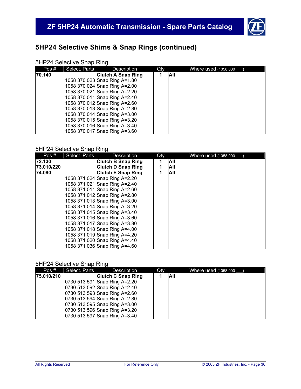![](_page_37_Picture_1.jpeg)

# **5HP24 Selective Shims & Snap Rings (continued)**

### 5HP24 Selective Snap Ring

| Pos#   | Select. Parts | Description                   | Qty | Where used (1058 000 |
|--------|---------------|-------------------------------|-----|----------------------|
| 70.140 |               | <b>Clutch A Snap Ring</b>     |     | <b>AII</b>           |
|        |               | 1058 370 023 Snap Ring A=1.80 |     |                      |
|        |               | 1058 370 024 Snap Ring A=2.00 |     |                      |
|        |               | 1058 370 021 Snap Ring A=2.20 |     |                      |
|        |               | 1058 370 011 Snap Ring A=2.40 |     |                      |
|        |               | 1058 370 012 Snap Ring A=2.60 |     |                      |
|        |               | 1058 370 013 Snap Ring A=2.80 |     |                      |
|        |               | 1058 370 014 Snap Ring A=3.00 |     |                      |
|        |               | 1058 370 015 Snap Ring A=3.20 |     |                      |
|        |               | 1058 370 016 Snap Ring A=3.40 |     |                      |
|        |               | 1058 370 017 Snap Ring A=3.60 |     |                      |

### 5HP24 Selective Snap Ring

| Pos#       | Select. Parts | Description                   | Qty |     | Where used (1058 000 |
|------------|---------------|-------------------------------|-----|-----|----------------------|
| 72.130     |               | <b>Clutch B Snap Ring</b>     | 1   | All |                      |
| 73.010/220 |               | <b>Clutch D Snap Ring</b>     |     | All |                      |
| 74.090     |               | <b>Clutch E Snap Ring</b>     |     | All |                      |
|            |               | 1058 371 024 Snap Ring A=2.20 |     |     |                      |
|            |               | 1058 371 021 Snap Ring A=2.40 |     |     |                      |
|            |               | 1058 371 011 Snap Ring A=2.60 |     |     |                      |
|            |               | 1058 371 012 Snap Ring A=2.80 |     |     |                      |
|            |               | 1058 371 013 Snap Ring A=3.00 |     |     |                      |
|            |               | 1058 371 014 Snap Ring A=3.20 |     |     |                      |
|            |               | 1058 371 015 Snap Ring A=3.40 |     |     |                      |
|            |               | 1058 371 016 Snap Ring A=3.60 |     |     |                      |
|            |               | 1058 371 017 Snap Ring A=3.80 |     |     |                      |
|            |               | 1058 371 018 Snap Ring A=4.00 |     |     |                      |
|            |               | 1058 371 019 Snap Ring A=4.20 |     |     |                      |
|            |               | 1058 371 020 Snap Ring A=4.40 |     |     |                      |
|            |               | 1058 371 036 Snap Ring A=4.60 |     |     |                      |

#### 5HP24 Selective Snap Ring

| Pos#       | Select. Parts | <b>Description</b>            | Qty |      | Where used (1058 000 |
|------------|---------------|-------------------------------|-----|------|----------------------|
| 75.010/210 |               | <b>Clutch C Snap Ring</b>     |     | IAII |                      |
|            |               | 0730 513 591 Snap Ring A=2.20 |     |      |                      |
|            |               | 0730 513 592 Snap Ring A=2.40 |     |      |                      |
|            |               | 0730 513 593 Snap Ring A=2.60 |     |      |                      |
|            |               | 0730 513 594 Snap Ring A=2.80 |     |      |                      |
|            |               | 0730 513 595 Snap Ring A=3.00 |     |      |                      |
|            |               | 0730 513 596 Snap Ring A=3.20 |     |      |                      |
|            |               | 0730 513 597 Snap Ring A=3.40 |     |      |                      |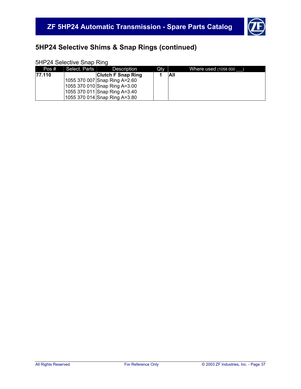![](_page_38_Picture_1.jpeg)

# **5HP24 Selective Shims & Snap Rings (continued)**

### 5HP24 Selective Snap Ring

| Pos#    | Select. Parts | Description                   | Qty |            | Where used (1058 000 |
|---------|---------------|-------------------------------|-----|------------|----------------------|
| 177.110 |               | <b>Clutch F Snap Ring</b>     |     | <b>All</b> |                      |
|         |               | 1055 370 007 Snap Ring A=2.60 |     |            |                      |
|         |               | 1055 370 010 Snap Ring A=3.00 |     |            |                      |
|         |               | 1055 370 011 Snap Ring A=3.40 |     |            |                      |
|         |               | 1055 370 014 Snap Ring A=3.80 |     |            |                      |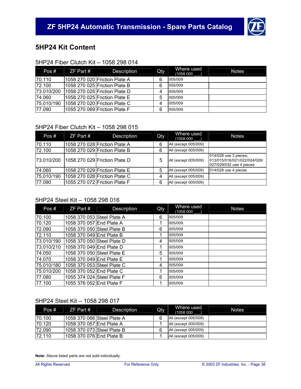![](_page_39_Picture_1.jpeg)

### **5HP24 Kit Content**

### 5HP24 Fiber Clutch Kit – 1058 298 014

| Pos#       | ZF Part # | Description                   | Qty | Where used<br>(1058 000 | <b>Notes</b> |
|------------|-----------|-------------------------------|-----|-------------------------|--------------|
| 70.110     |           | 1058 270 020 Friction Plate A | 6   | 005/009                 |              |
| 72.100     |           | 1058 270 025 Friction Plate B | 6   | 005/009                 |              |
| 73.010/200 |           | 1058 270 025 Friction Plate D | 4   | 005/009                 |              |
| 174.060    |           | 1058 270 025 Friction Plate E | 5   | 005/009                 |              |
| 75.010/190 |           | 1058 270 020 Friction Plate C | 4   | 005/009                 |              |
| 77.090     |           | 1055 270 069 Friction Plate F | 6   | 005/009                 |              |

### 5HP24 Fiber Clutch Kit – 1058 298 015

| Pos#       | $ZF$ Part # | Description                   | <b>Qty</b> | Where used<br>(1058 000 | <b>Notes</b>                                                                      |
|------------|-------------|-------------------------------|------------|-------------------------|-----------------------------------------------------------------------------------|
| 70.110     |             | 1058 270 028 Friction Plate A | 6          | All (except 005/009)    |                                                                                   |
| 72.100     |             | 1058 270 029 Friction Plate B | 6          | All (except 005/009)    |                                                                                   |
| 73.010/200 |             | 1058 270 029 Friction Plate D | 5          | All (except 005/009)    | 014/028 use 3 pieces;<br>013/015/016/021/022/024/026/<br>027/029/032 use 4 pieces |
| 74.060     |             | 1058 270 029 Friction Plate E | 5          | All (except 005/009)    | 014/028 use 4 pieces                                                              |
| 75.010/190 |             | 1058 270 028 Friction Plate C | 4          | All (except 005/009)    |                                                                                   |
| 77.090     |             | 1055 270 072 Friction Plate F | 6          | All (except 005/009)    |                                                                                   |

#### 5HP24 Steel Kit – 1058 298 016

| Pos#       | $ZF$ Part $#$              | Description | Qty | Where used<br>(1058 000 | <b>Notes</b> |
|------------|----------------------------|-------------|-----|-------------------------|--------------|
| 70.100     | 1058 370 053 Steel Plate A |             | 6   | 005/009                 |              |
| 70.120     | 1058 370 057 End Plate A   |             | 1   | 005/009                 |              |
| 72.090     | 1058 370 050 Steel Plate B |             | 6   | 005/009                 |              |
| 72.110     | 1058 370 049 End Plate B   |             | 1   | 005/009                 |              |
| 73.010/190 | 1058 370 050 Steel Plate D |             | 4   | 005/009                 |              |
| 73.010/210 | 1058 370 049 End Plate D   |             | 1   | 005/009                 |              |
| 74.050     | 1058 370 050 Steel Plate E |             | 5   | 005/009                 |              |
| 74.070     | 1058 370 049 End Plate E   |             | 1   | 005/009                 |              |
| 75.010/180 | 1058 370 053 Steel Plate C |             | 4   | 005/009                 |              |
| 75.010/200 | 1058 370 052 End Plate C   |             | 1   | 005/009                 |              |
| 77.080     | 1055 374 024 Steel Plate F |             | 6   | 005/009                 |              |
| 77.100     | 1055 376 052 End Plate F   |             |     | 005/009                 |              |

### 5HP24 Steel Kit – 1058 298 017

| Pos#   | $ZF$ Part #                | Description | <b>Qty</b> | Where used<br>(1058 000 | <b>Notes</b> |
|--------|----------------------------|-------------|------------|-------------------------|--------------|
| 70.100 | 1058 370 066 Steel Plate A |             | 6          | All (except 005/009)    |              |
| 70.120 | 1058 370 057 End Plate A   |             |            | All (except 005/009)    |              |
| 72.090 | 1058 370 073 Steel Plate B |             | 6          | All (except 005/009)    |              |
| 72.110 | 1058 370 076 End Plate B   |             |            | All (except 005/009)    |              |

**Note:** Above listed parts are not sold individually.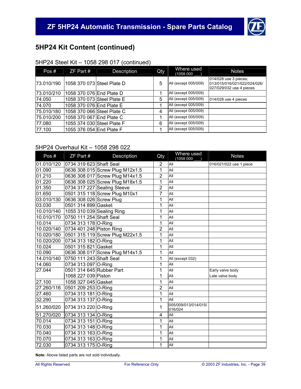![](_page_40_Picture_1.jpeg)

# **5HP24 Kit Content (continued)**

### 5HP24 Steel Kit – 1058 298 017 (continued)

| Pos#       | $ZF$ Part #                | Description | Qty | Where used<br>(1058 000 | <b>Notes</b>                                                                      |
|------------|----------------------------|-------------|-----|-------------------------|-----------------------------------------------------------------------------------|
| 73.010/190 | 1058 370 073 Steel Plate D |             | 5   | All (except 005/009)    | 014/028 use 3 pieces;<br>013/015/016/021/022/024/026/<br>027/029/032 use 4 pieces |
| 73.010/210 | 1058 370 076 End Plate D   |             |     | All (except 005/009)    |                                                                                   |
| 74.050     | 1058 370 073 Steel Plate E |             | 5   | All (except 005/009)    | 014/028 use 4 pieces                                                              |
| 74.070     | 1058 370 076 End Plate E   |             |     | All (except 005/009)    |                                                                                   |
| 75.010/180 | 1058 370 066 Steel Plate C |             | 4   | All (except 005/009)    |                                                                                   |
| 75.010/200 | 1058 370 067 End Plate C   |             |     | All (except 005/009)    |                                                                                   |
| 77.080     | 1055 374 030 Steel Plate F |             | 6   | All (except 005/009)    |                                                                                   |
| 77.100     | 1055 376 054 End Plate F   |             |     | All (except 005/009)    |                                                                                   |

### 5HP24 Overhaul Kit – 1058 298 022

| Pos#       | ZF Part #                 | Description                     | Qty            | Where used<br>(1058 000         | <b>Notes</b>            |
|------------|---------------------------|---------------------------------|----------------|---------------------------------|-------------------------|
| 01.010/120 | 0734 319 623 Shaft Seal   |                                 | $\overline{2}$ | All                             | 016/021/022 use 1 piece |
| 01.090     |                           | 0636 308 015 Screw Plug M12x1.5 | $\overline{1}$ | All                             |                         |
| 01.210     |                           | 0636 308 017 Screw Plug M14x1.5 | $\overline{2}$ | All                             |                         |
| 01.220     |                           | 0636 308 025 Screw Plug M18x1.5 | 1              | All                             |                         |
| 01.350     |                           | 0734 317 227 Sealing Sleeve     | $\overline{2}$ | All                             |                         |
| 01.650     |                           | 0501 315 118 Screw Plug M10x1   | $\overline{7}$ | All                             |                         |
| 03.010/130 | 0636 308 026 Screw Plug   |                                 | 1              | All                             |                         |
| 03.030     | 0501 314 899 Gasket       |                                 | 1              | All                             |                         |
| 10.010/140 | 1055 310 039 Sealing Ring |                                 | $\overline{1}$ | All                             |                         |
| 10.010/170 | 0750 111 254 Shaft Seal   |                                 | 1              | All                             |                         |
| 10.014     | 0734 313 178 O-Ring       |                                 | 1              | All                             |                         |
| 10.020/140 | 0734 401 248 Piston Ring  |                                 | 2              | All                             |                         |
| 10.020/180 |                           | 0501 315 119 Screw Plug M22x1.5 | 1              | All                             |                         |
| 10.020/200 | 0734 313 182 O-Ring       |                                 | 1              | All                             |                         |
| 10.024     | 0501 315 821 Gasket       |                                 | 1              | All                             |                         |
| 10.090     |                           | 0636 308 017 Screw Plug M14x1.5 | 1              | All                             |                         |
| 14.010/140 | 0750 111 243 Shaft Seal   |                                 | 1              | All (except 032)                |                         |
| 14.060     | 0734 313 097 O-Ring       |                                 | 1              | All                             |                         |
| 27.044     | 0501 314 645 Rubber Part  |                                 | 1              | All                             | Early valve body        |
|            | 1068 227 039 Piston       |                                 | 1              | All                             | Late valve body         |
| 27.100     | 1058 327 045 Gasket       |                                 | 1              | All                             |                         |
| 27.260/116 | 0501 209 253 O-Ring       |                                 | $\overline{2}$ | All                             |                         |
| 27.460     | 0734 313 181 O-Ring       |                                 | 1              | All                             |                         |
| 32.290     | 0734 313 137 O-Ring       |                                 | 1              | All                             |                         |
| 51.260/020 | 0734 313 220 O-Ring       |                                 | 1              | 005/009/013/014/015/<br>016/024 |                         |
| 51.270/020 | 0734 313 134 O-Ring       |                                 | 4              | All                             |                         |
| 70.014     | 0734 313 151 O-Ring       |                                 | 1              | All                             |                         |
| 70.030     | 0734 313 148 O-Ring       |                                 | 1              | All                             |                         |
| 70.040     | 0734 313 163 O-Ring       |                                 | $\mathbf{1}$   | All                             |                         |
| 70.070     | 0734 313 163 O-Ring       |                                 | 1              | All                             |                         |
| 72.030     | 0734 313 175 O-Ring       |                                 | 1              | All                             |                         |

**Note:** Above listed parts are not sold individually.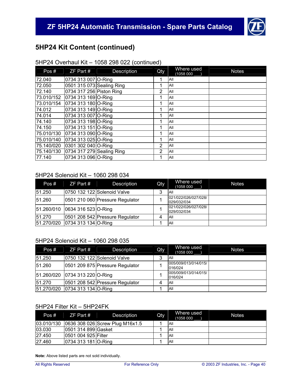![](_page_41_Picture_1.jpeg)

# **5HP24 Kit Content (continued)**

### 5HP24 Overhaul Kit – 1058 298 022 (continued)

| Pos#       | $ZF$ Part #               | Description | Qty            | Where used<br>(1058 000 | <b>Notes</b> |
|------------|---------------------------|-------------|----------------|-------------------------|--------------|
| 72.040     | 0734 313 007 O-Ring       |             | 1              | All                     |              |
| 72.050     | 0501 315 073 Sealing Ring |             | 1              | All                     |              |
| 72.140     | 0734 317 256 Piston Ring  |             | $\overline{2}$ | All                     |              |
| 73.010/152 | 0734 313 169 O-Ring       |             | 1              | All                     |              |
| 73.010/154 | 0734 313 180 O-Ring       |             |                | All                     |              |
| 74.012     | 0734 313 149 O-Ring       |             | 1              | All                     |              |
| 74.014     | 0734 313 007 O-Ring       |             | 1              | All                     |              |
| 74.140     | 0734 313 198 O-Ring       |             |                | All                     |              |
| 74.150     | 0734 313 151 O-Ring       |             | 1              | All                     |              |
| 75.010/130 | 0734 313 090 O-Ring       |             | ◢              | All                     |              |
| 75.010/140 | 0734 313 025 O-Ring       |             | 1              | All                     |              |
| 75.140/020 | 0301 302 040 O-Ring       |             | $\overline{2}$ | All                     |              |
| 75.140/130 | 0734 317 279 Sealing Ring |             | $\overline{2}$ | All                     |              |
| 77.140     | 0734 313 096 O-Ring       |             | 1              | All                     |              |

#### 5HP24 Solenoid Kit – 1060 298 034

| Pos#   | $ZF$ Part #                    | <b>Description</b>              | Qty | Where used<br>(1058 000             | <b>Notes</b> |
|--------|--------------------------------|---------------------------------|-----|-------------------------------------|--------------|
| 51.250 |                                | 0750 132 122 Solenoid Valve     | 3   | <b>AII</b>                          |              |
| 51.260 |                                | 0501 210 060 Pressure Regulator |     | 021/022/026/027/028/<br>029/032/034 |              |
|        | 51.260/010 0634 316 523 O-Ring |                                 |     | 021/022/026/027/028/<br>029/032/034 |              |
| 51.270 |                                | 0501 208 542 Pressure Regulator |     | All                                 |              |
|        | 51.270/020 0734 313 134 O-Ring |                                 |     | All                                 |              |

### 5HP24 Solenoid Kit – 1060 298 035

| Pos#       | ZF Part #                      | <b>Description</b>              | Qty | Where used<br>(1058 000         | <b>Notes</b> |
|------------|--------------------------------|---------------------------------|-----|---------------------------------|--------------|
| 51.250     |                                | 0750 132 122 Solenoid Valve     | 3   | All                             |              |
| 51.260     |                                | 0501 209 875 Pressure Regulator |     | 005/009/013/014/015/<br>016/024 |              |
|            | 51.260/020 0734 313 220 O-Ring |                                 |     | 005/009/013/014/015/<br>016/024 |              |
| 51.270     |                                | 0501 208 542 Pressure Regulator |     | All                             |              |
| 51.270/020 | 0734 313 134 O-Ring            |                                 |     | <b>AII</b>                      |              |

### 5HP24 Filter Kit – 5HP24FK

| Pos#       | $ZF$ Part #          | Description                     | Qty | Where used<br>(1058 000 | <b>Notes</b> |
|------------|----------------------|---------------------------------|-----|-------------------------|--------------|
| 03.010/130 |                      | 0636 308 026 Screw Plug M16x1.5 |     | All                     |              |
| 03.030     | 10501 314 899 Gasket |                                 |     | All                     |              |
| 27.450     | 10501 004 925 Filter |                                 |     | All                     |              |
| 27.460     | 0734 313 181 O-Ring  |                                 |     | All                     |              |

**Note:** Above listed parts are not sold individually.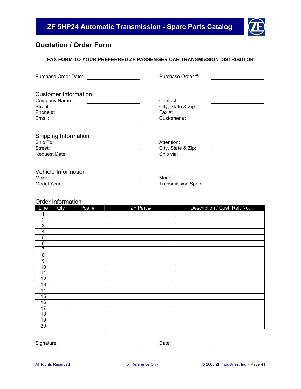![](_page_42_Picture_1.jpeg)

### **Quotation / Order Form**

### **FAX FORM TO YOUR PREFERRED ZF PASSENGER CAR TRANSMISSION DISTRIBUTOR**

| Purchase Order Date:                                                          | Purchase Order #:                                      |  |
|-------------------------------------------------------------------------------|--------------------------------------------------------|--|
| <b>Customer Information</b><br>Company Name:<br>Street:<br>Phone #:<br>Email: | Contact:<br>City, State & Zip:<br>Fax #:<br>Customer#: |  |
| Shipping Information<br>Ship To:<br>Street:<br>Request Date:                  | Attention:<br>City, State & Zip:<br>Ship via:          |  |
| Vehicle Information<br>Make:<br>Model Year:                                   | Model:<br><b>Transmission Spec:</b>                    |  |

### Order Information

| Line                    | Qty | Pos. # | ZF Part # | Description / Cust. Ref. No. |
|-------------------------|-----|--------|-----------|------------------------------|
|                         |     |        |           |                              |
| $\overline{2}$          |     |        |           |                              |
| $\overline{3}$          |     |        |           |                              |
| $\overline{\mathbf{4}}$ |     |        |           |                              |
| $\mathbf 5$             |     |        |           |                              |
| 6                       |     |        |           |                              |
| $\overline{7}$          |     |        |           |                              |
| 8                       |     |        |           |                              |
| $\boldsymbol{9}$        |     |        |           |                              |
| 10                      |     |        |           |                              |
| 11                      |     |        |           |                              |
| 12                      |     |        |           |                              |
| 13                      |     |        |           |                              |
| 14                      |     |        |           |                              |
| 15                      |     |        |           |                              |
| 16                      |     |        |           |                              |
| 17                      |     |        |           |                              |
| 18                      |     |        |           |                              |
| 19                      |     |        |           |                              |
| 20                      |     |        |           |                              |

Signature: Date: Date: Date: Date: Date: Date: Date: Date: Date: Date: Date: Date: Date: Date: Date: Date: Date: Date: Date: Date: Date: Date: Date: Date: Date: Date: Date: Date: Date: Date: Date: Date: Date: Date: Date: D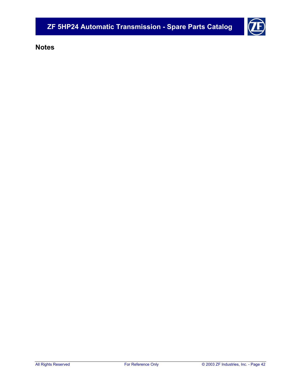**Notes**